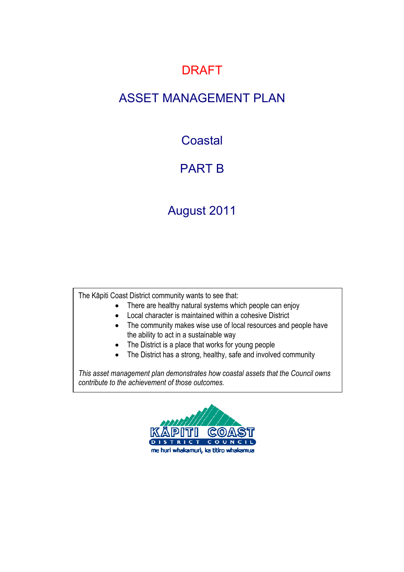### DRAFT

### ASSET MANAGEMENT PLAN

### **Coastal**

## PART B

## August 2011

The Kāpiti Coast District community wants to see that:

- There are healthy natural systems which people can enjoy
- Local character is maintained within a cohesive District
- The community makes wise use of local resources and people have the ability to act in a sustainable way
- The District is a place that works for young people
- The District has a strong, healthy, safe and involved community

*This asset management plan demonstrates how coastal assets that the Council owns contribute to the achievement of those outcomes.* 

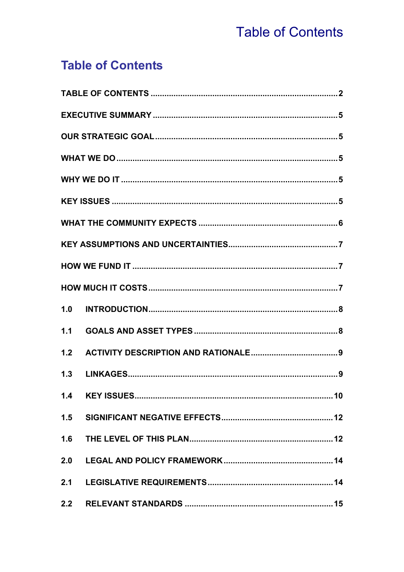# **Table of Contents**

## **Table of Contents**

| 1.0 |  |
|-----|--|
| 1.1 |  |
| 1.2 |  |
| 1.3 |  |
| 1.4 |  |
|     |  |
|     |  |
| 2.0 |  |
|     |  |
| 2.2 |  |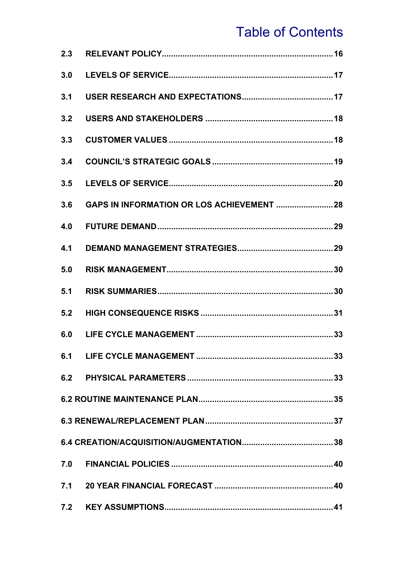# **Table of Contents**

| 2.3 |  |
|-----|--|
| 3.0 |  |
| 3.1 |  |
| 3.2 |  |
| 3.3 |  |
| 3.4 |  |
| 3.5 |  |
| 3.6 |  |
| 4.0 |  |
| 4.1 |  |
| 5.0 |  |
| 5.1 |  |
| 5.2 |  |
| 6.0 |  |
|     |  |
|     |  |
|     |  |
|     |  |
|     |  |
|     |  |
|     |  |
|     |  |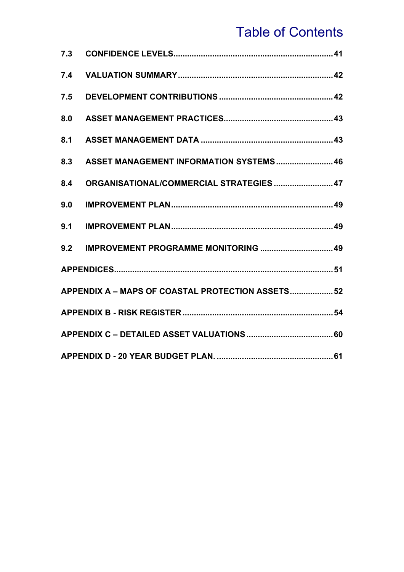# Table of Contents

| 7.3 |                                                   |  |
|-----|---------------------------------------------------|--|
| 7.4 |                                                   |  |
| 7.5 |                                                   |  |
| 8.0 |                                                   |  |
| 8.1 |                                                   |  |
| 8.3 | ASSET MANAGEMENT INFORMATION SYSTEMS 46           |  |
| 8.4 | ORGANISATIONAL/COMMERCIAL STRATEGIES  47          |  |
| 9.0 |                                                   |  |
| 9.1 |                                                   |  |
| 9.2 | IMPROVEMENT PROGRAMME MONITORING  49              |  |
|     |                                                   |  |
|     | APPENDIX A - MAPS OF COASTAL PROTECTION ASSETS 52 |  |
|     |                                                   |  |
|     |                                                   |  |
|     |                                                   |  |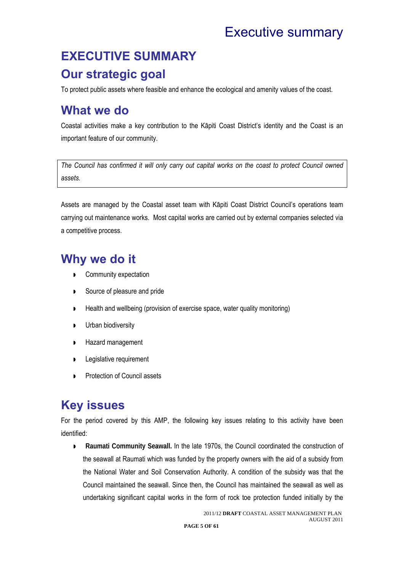## Executive summary

## **EXECUTIVE SUMMARY**

### **Our strategic goal**

To protect public assets where feasible and enhance the ecological and amenity values of the coast.

### **What we do**

Coastal activities make a key contribution to the Kāpiti Coast District's identity and the Coast is an important feature of our community.

*The Council has confirmed it will only carry out capital works on the coast to protect Council owned assets.* 

Assets are managed by the Coastal asset team with Kāpiti Coast District Council's operations team carrying out maintenance works. Most capital works are carried out by external companies selected via a competitive process.

### **Why we do it**

- Community expectation
- Source of pleasure and pride
- ▶ Health and wellbeing (provision of exercise space, water quality monitoring)
- **D** Urban biodiversity
- **Hazard management**
- **Legislative requirement**
- **Protection of Council assets**

## **Key issues**

For the period covered by this AMP, the following key issues relating to this activity have been identified:

**Raumati Community Seawall.** In the late 1970s, the Council coordinated the construction of the seawall at Raumati which was funded by the property owners with the aid of a subsidy from the National Water and Soil Conservation Authority. A condition of the subsidy was that the Council maintained the seawall. Since then, the Council has maintained the seawall as well as undertaking significant capital works in the form of rock toe protection funded initially by the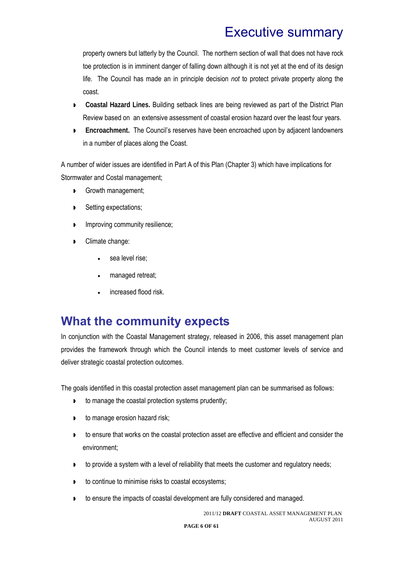## Executive summary

property owners but latterly by the Council. The northern section of wall that does not have rock toe protection is in imminent danger of falling down although it is not yet at the end of its design life. The Council has made an in principle decision *not* to protect private property along the coast.

- **Coastal Hazard Lines.** Building setback lines are being reviewed as part of the District Plan Review based on an extensive assessment of coastal erosion hazard over the least four years.
- **Encroachment.** The Council's reserves have been encroached upon by adjacent landowners in a number of places along the Coast.

A number of wider issues are identified in Part A of this Plan (Chapter 3) which have implications for Stormwater and Costal management;

- Growth management;
- Setting expectations;
- **Improving community resilience;**
- Climate change:
	- sea level rise;
	- managed retreat;
	- increased flood risk.

### **What the community expects**

In conjunction with the Coastal Management strategy, released in 2006, this asset management plan provides the framework through which the Council intends to meet customer levels of service and deliver strategic coastal protection outcomes.

The goals identified in this coastal protection asset management plan can be summarised as follows:

- **to manage the coastal protection systems prudently;**
- **to manage erosion hazard risk;**
- **to ensure that works on the coastal protection asset are effective and efficient and consider the** environment;
- **to provide a system with a level of reliability that meets the customer and regulatory needs;**
- **to continue to minimise risks to coastal ecosystems;**
- **to ensure the impacts of coastal development are fully considered and managed.**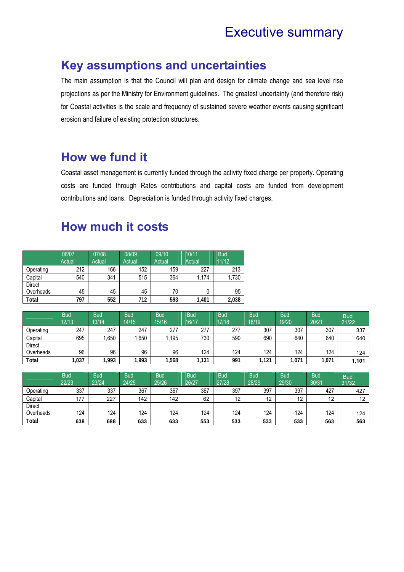### Executive summary

### **Key assumptions and uncertainties**

The main assumption is that the Council will plan and design for climate change and sea level rise projections as per the Ministry for Environment guidelines. The greatest uncertainty (and therefore risk) for Coastal activities is the scale and frequency of sustained severe weather events causing significant erosion and failure of existing protection structures.

### **How we fund it**

Coastal asset management is currently funded through the activity fixed charge per property. Operating costs are funded through Rates contributions and capital costs are funded from development contributions and loans. Depreciation is funded through activity fixed charges.

### **How much it costs**

|               | 06/07<br>Actual | 07/08<br>Actual | 08/09<br>Actual | 09/10<br>Actual | 10/11<br>Actual | <b>Bud</b><br>11/12 |
|---------------|-----------------|-----------------|-----------------|-----------------|-----------------|---------------------|
| Operating     | 212             | 166             | 152             | 159             | 227             | 213                 |
| Capital       | 540             | 341             | 515             | 364             | 1,174           | 1,730               |
| <b>Direct</b> |                 |                 |                 |                 |                 |                     |
| Overheads     | 45              | 45              | 45              | 70              | 0               | 95                  |
| Total         | 797             | 552             | 712             | 593             | 1,401           | 2,038               |

|           | <b>Bud</b><br>12/13 | <b>Bud</b><br>13/14 | <b>Bud</b><br>14/15 | <b>Bud</b><br>15/16 | <b>Bud</b><br>16/17 | <b>Bud</b><br>17/18 | <b>Bud</b><br>18/19 | <b>Bud</b><br>19/20 | <b>Bud</b><br>20/21 | <b>Bud</b><br>21/22 |
|-----------|---------------------|---------------------|---------------------|---------------------|---------------------|---------------------|---------------------|---------------------|---------------------|---------------------|
| Operating | 247                 | 247                 | 247                 | 277                 | 277                 | 277                 | 307                 | 307                 | 307                 | 337                 |
| Capital   | 695                 | 1,650               | ,650                | ,195                | 730                 | 590                 | 690                 | 640                 | 640                 | 640                 |
| Direct    |                     |                     |                     |                     |                     |                     |                     |                     |                     |                     |
| Overheads | 96                  | 96                  | 96                  | 96                  | 124                 | 124                 | 124                 | 124                 | 124                 | 124                 |
| Total     | 1,037               | 1,993               | 1.993               | 1,568               | 131                 | 991                 | .121                | ,071                | 1,071               | 1.101               |

|               | <b>Bud</b><br>22/23 | <b>Bud</b><br>23/24 | <b>Bud</b><br>24/25 | <b>Bud</b><br>25/26 | <b>Bud</b><br>26/27 | <b>Bud</b><br>27/28 | <b>Bud</b><br>28/29 | Bud <sup>1</sup><br>29/30 | <b>Bud</b><br>30/31 | <b>Bud</b><br>31/32 |
|---------------|---------------------|---------------------|---------------------|---------------------|---------------------|---------------------|---------------------|---------------------------|---------------------|---------------------|
| Operating     | 337                 | 337                 | 367                 | 367                 | 367                 | 397                 | 397                 | 397                       | 427                 | 427                 |
| Capital       | 177                 | 227                 | 142                 | 142                 | 62                  | 12                  | 12                  | 12                        | 12                  | 12                  |
| <b>Direct</b> |                     |                     |                     |                     |                     |                     |                     |                           |                     |                     |
| Overheads     | 124                 | 124                 | 124                 | 124                 | 124                 | 124                 | 124                 | 124                       | 124                 | 124                 |
| Total         | 638                 | 688                 | 633                 | 633                 | 553                 | 533                 | 533                 | 533                       | 563                 | 563                 |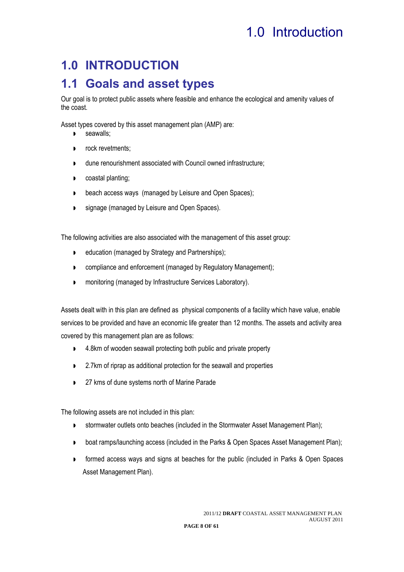## **1.0 INTRODUCTION**

### **1.1 Goals and asset types**

Our goal is to protect public assets where feasible and enhance the ecological and amenity values of the coast.

Asset types covered by this asset management plan (AMP) are:

- **D** seawalls;
- **P** rock revetments:
- dune renourishment associated with Council owned infrastructure;
- **D** coastal planting:
- **beach access ways (managed by Leisure and Open Spaces);**
- **Standage (managed by Leisure and Open Spaces).**

The following activities are also associated with the management of this asset group:

- **D** education (managed by Strategy and Partnerships);
- **D** compliance and enforcement (managed by Regulatory Management);
- **n** monitoring (managed by Infrastructure Services Laboratory).

Assets dealt with in this plan are defined as physical components of a facility which have value, enable services to be provided and have an economic life greater than 12 months. The assets and activity area covered by this management plan are as follows:

- ▶ 4.8km of wooden seawall protecting both public and private property
- 2.7km of riprap as additional protection for the seawall and properties
- 27 kms of dune systems north of Marine Parade

The following assets are not included in this plan:

- stormwater outlets onto beaches (included in the Stormwater Asset Management Plan);
- **boat ramps/launching access (included in the Parks & Open Spaces Asset Management Plan);**
- **F** formed access ways and signs at beaches for the public (included in Parks & Open Spaces Asset Management Plan).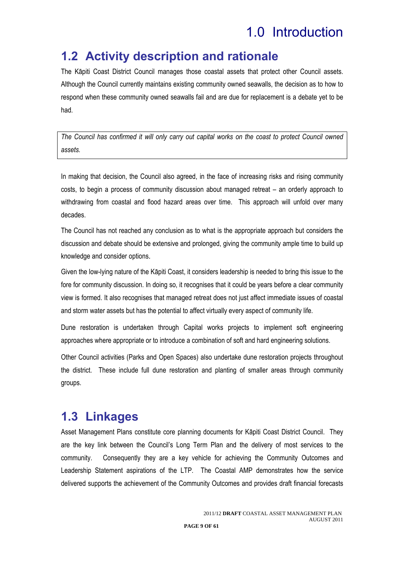### **1.2 Activity description and rationale**

The Kāpiti Coast District Council manages those coastal assets that protect other Council assets. Although the Council currently maintains existing community owned seawalls, the decision as to how to respond when these community owned seawalls fail and are due for replacement is a debate yet to be had.

*The Council has confirmed it will only carry out capital works on the coast to protect Council owned assets.* 

In making that decision, the Council also agreed, in the face of increasing risks and rising community costs, to begin a process of community discussion about managed retreat – an orderly approach to withdrawing from coastal and flood hazard areas over time. This approach will unfold over many decades.

The Council has not reached any conclusion as to what is the appropriate approach but considers the discussion and debate should be extensive and prolonged, giving the community ample time to build up knowledge and consider options.

Given the low-lying nature of the Kāpiti Coast, it considers leadership is needed to bring this issue to the fore for community discussion. In doing so, it recognises that it could be years before a clear community view is formed. It also recognises that managed retreat does not just affect immediate issues of coastal and storm water assets but has the potential to affect virtually every aspect of community life.

Dune restoration is undertaken through Capital works projects to implement soft engineering approaches where appropriate or to introduce a combination of soft and hard engineering solutions.

Other Council activities (Parks and Open Spaces) also undertake dune restoration projects throughout the district. These include full dune restoration and planting of smaller areas through community groups.

### **1.3 Linkages**

Asset Management Plans constitute core planning documents for Kāpiti Coast District Council. They are the key link between the Council's Long Term Plan and the delivery of most services to the community. Consequently they are a key vehicle for achieving the Community Outcomes and Leadership Statement aspirations of the LTP. The Coastal AMP demonstrates how the service delivered supports the achievement of the Community Outcomes and provides draft financial forecasts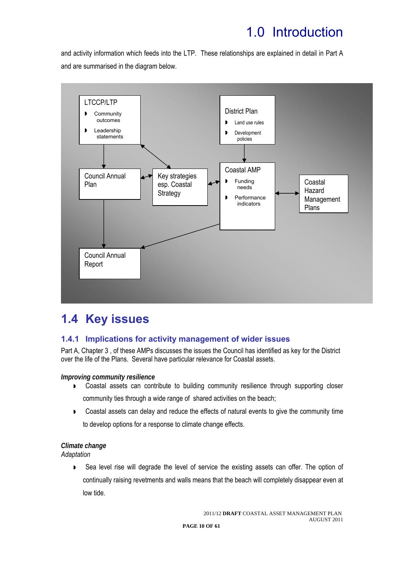and activity information which feeds into the LTP. These relationships are explained in detail in Part A and are summarised in the diagram below.



## **1.4 Key issues**

### **1.4.1 Implications for activity management of wider issues**

Part A, Chapter 3 , of these AMPs discusses the issues the Council has identified as key for the District over the life of the Plans. Several have particular relevance for Coastal assets.

### *Improving community resilience*

- **D** Coastal assets can contribute to building community resilience through supporting closer community ties through a wide range of shared activities on the beach;
- **Coastal assets can delay and reduce the effects of natural events to give the community time** to develop options for a response to climate change effects.

### *Climate change*

*Adaptation* 

 Sea level rise will degrade the level of service the existing assets can offer. The option of continually raising revetments and walls means that the beach will completely disappear even at low tide.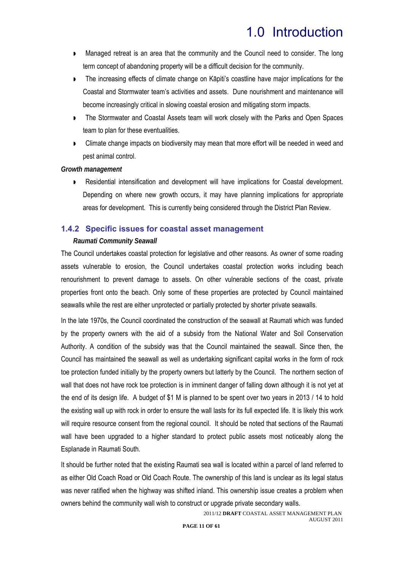- Managed retreat is an area that the community and the Council need to consider. The long term concept of abandoning property will be a difficult decision for the community.
- **The increasing effects of climate change on Kāpiti's coastline have major implications for the** Coastal and Stormwater team's activities and assets. Dune nourishment and maintenance will become increasingly critical in slowing coastal erosion and mitigating storm impacts.
- **The Stormwater and Coastal Assets team will work closely with the Parks and Open Spaces** team to plan for these eventualities.
- **DED** Climate change impacts on biodiversity may mean that more effort will be needed in weed and pest animal control.

#### *Growth management*

 Residential intensification and development will have implications for Coastal development. Depending on where new growth occurs, it may have planning implications for appropriate areas for development. This is currently being considered through the District Plan Review.

#### **1.4.2 Specific issues for coastal asset management**

#### *Raumati Community Seawall*

The Council undertakes coastal protection for legislative and other reasons. As owner of some roading assets vulnerable to erosion, the Council undertakes coastal protection works including beach renourishment to prevent damage to assets. On other vulnerable sections of the coast, private properties front onto the beach. Only some of these properties are protected by Council maintained seawalls while the rest are either unprotected or partially protected by shorter private seawalls.

In the late 1970s, the Council coordinated the construction of the seawall at Raumati which was funded by the property owners with the aid of a subsidy from the National Water and Soil Conservation Authority. A condition of the subsidy was that the Council maintained the seawall. Since then, the Council has maintained the seawall as well as undertaking significant capital works in the form of rock toe protection funded initially by the property owners but latterly by the Council. The northern section of wall that does not have rock toe protection is in imminent danger of falling down although it is not yet at the end of its design life. A budget of \$1 M is planned to be spent over two years in 2013 / 14 to hold the existing wall up with rock in order to ensure the wall lasts for its full expected life. It is likely this work will require resource consent from the regional council. It should be noted that sections of the Raumati wall have been upgraded to a higher standard to protect public assets most noticeably along the Esplanade in Raumati South.

It should be further noted that the existing Raumati sea wall is located within a parcel of land referred to as either Old Coach Road or Old Coach Route. The ownership of this land is unclear as its legal status was never ratified when the highway was shifted inland. This ownership issue creates a problem when owners behind the community wall wish to construct or upgrade private secondary walls.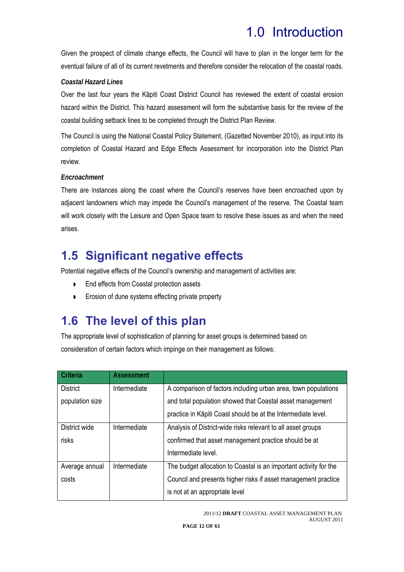Given the prospect of climate change effects, the Council will have to plan in the longer term for the eventual failure of all of its current revetments and therefore consider the relocation of the coastal roads.

### *Coastal Hazard Lines*

Over the last four years the Kāpiti Coast District Council has reviewed the extent of coastal erosion hazard within the District. This hazard assessment will form the substantive basis for the review of the coastal building setback lines to be completed through the District Plan Review.

The Council is using the National Coastal Policy Statement, (Gazetted November 2010), as input into its completion of Coastal Hazard and Edge Effects Assessment for incorporation into the District Plan review.

### *Encroachment*

There are instances along the coast where the Council's reserves have been encroached upon by adjacent landowners which may impede the Council's management of the reserve. The Coastal team will work closely with the Leisure and Open Space team to resolve these issues as and when the need arises.

### **1.5 Significant negative effects**

Potential negative effects of the Council's ownership and management of activities are:

- **End effects from Coastal protection assets**
- **Example 3** Erosion of dune systems effecting private property

### **1.6 The level of this plan**

The appropriate level of sophistication of planning for asset groups is determined based on consideration of certain factors which impinge on their management as follows:

| Criteria        | <b>Assessment</b> |                                                                   |
|-----------------|-------------------|-------------------------------------------------------------------|
| <b>District</b> | Intermediate      | A comparison of factors including urban area, town populations    |
| population size |                   | and total population showed that Coastal asset management         |
|                 |                   | practice in Kāpiti Coast should be at the Intermediate level.     |
| District wide   | Intermediate      | Analysis of District-wide risks relevant to all asset groups      |
| risks           |                   | confirmed that asset management practice should be at             |
|                 |                   | Intermediate level.                                               |
| Average annual  | Intermediate      | The budget allocation to Coastal is an important activity for the |
| costs           |                   | Council and presents higher risks if asset management practice    |
|                 |                   | is not at an appropriate level                                    |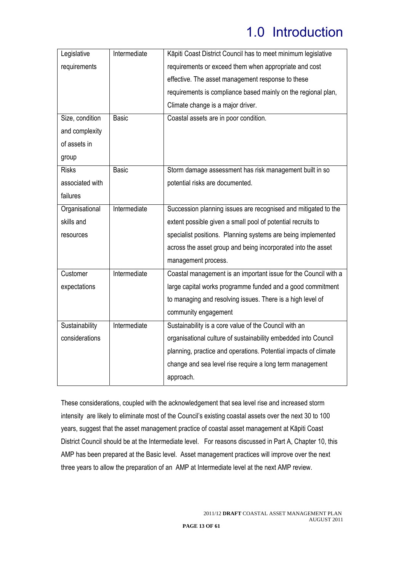| Legislative     | Intermediate | Kāpiti Coast District Council has to meet minimum legislative   |
|-----------------|--------------|-----------------------------------------------------------------|
| requirements    |              | requirements or exceed them when appropriate and cost           |
|                 |              | effective. The asset management response to these               |
|                 |              | requirements is compliance based mainly on the regional plan,   |
|                 |              | Climate change is a major driver.                               |
| Size, condition | <b>Basic</b> | Coastal assets are in poor condition.                           |
| and complexity  |              |                                                                 |
| of assets in    |              |                                                                 |
| group           |              |                                                                 |
| <b>Risks</b>    | <b>Basic</b> | Storm damage assessment has risk management built in so         |
| associated with |              | potential risks are documented.                                 |
| failures        |              |                                                                 |
| Organisational  | Intermediate | Succession planning issues are recognised and mitigated to the  |
| skills and      |              | extent possible given a small pool of potential recruits to     |
| resources       |              | specialist positions. Planning systems are being implemented    |
|                 |              | across the asset group and being incorporated into the asset    |
|                 |              | management process.                                             |
| Customer        | Intermediate | Coastal management is an important issue for the Council with a |
| expectations    |              | large capital works programme funded and a good commitment      |
|                 |              | to managing and resolving issues. There is a high level of      |
|                 |              | community engagement                                            |
| Sustainability  | Intermediate | Sustainability is a core value of the Council with an           |
| considerations  |              | organisational culture of sustainability embedded into Council  |
|                 |              | planning, practice and operations. Potential impacts of climate |
|                 |              | change and sea level rise require a long term management        |
|                 |              | approach.                                                       |

These considerations, coupled with the acknowledgement that sea level rise and increased storm intensity are likely to eliminate most of the Council's existing coastal assets over the next 30 to 100 years, suggest that the asset management practice of coastal asset management at Kāpiti Coast District Council should be at the Intermediate level. For reasons discussed in Part A, Chapter 10, this AMP has been prepared at the Basic level. Asset management practices will improve over the next three years to allow the preparation of an AMP at Intermediate level at the next AMP review.

**PAGE 13 OF 61**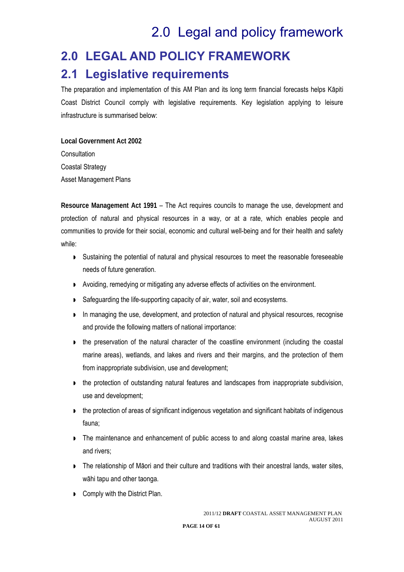## 2.0 Legal and policy framework

# **2.0 LEGAL AND POLICY FRAMEWORK 2.1 Legislative requirements**

The preparation and implementation of this AM Plan and its long term financial forecasts helps Kāpiti Coast District Council comply with legislative requirements. Key legislation applying to leisure infrastructure is summarised below:

**Local Government Act 2002 Consultation** Coastal Strategy Asset Management Plans

**Resource Management Act 1991** – The Act requires councils to manage the use, development and protection of natural and physical resources in a way, or at a rate, which enables people and communities to provide for their social, economic and cultural well-being and for their health and safety while:

- Sustaining the potential of natural and physical resources to meet the reasonable foreseeable needs of future generation.
- Avoiding, remedying or mitigating any adverse effects of activities on the environment.
- Safeguarding the life-supporting capacity of air, water, soil and ecosystems.
- In managing the use, development, and protection of natural and physical resources, recognise and provide the following matters of national importance:
- the preservation of the natural character of the coastline environment (including the coastal marine areas), wetlands, and lakes and rivers and their margins, and the protection of them from inappropriate subdivision, use and development;
- the protection of outstanding natural features and landscapes from inappropriate subdivision, use and development;
- **I** the protection of areas of significant indigenous vegetation and significant habitats of indigenous fauna;
- The maintenance and enhancement of public access to and along coastal marine area, lakes and rivers;
- **The relationship of Maori and their culture and traditions with their ancestral lands, water sites,** wāhi tapu and other taonga.
- **D** Comply with the District Plan.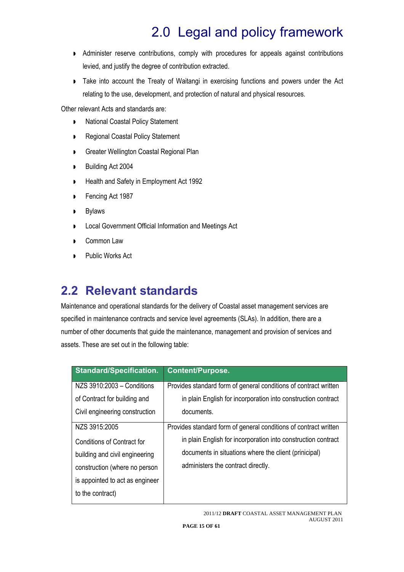# 2.0 Legal and policy framework

- Administer reserve contributions, comply with procedures for appeals against contributions levied, and justify the degree of contribution extracted.
- **Take into account the Treaty of Waitangi in exercising functions and powers under the Act** relating to the use, development, and protection of natural and physical resources.

Other relevant Acts and standards are:

- **National Coastal Policy Statement**
- **Regional Coastal Policy Statement**
- **Greater Wellington Coastal Regional Plan**
- Building Act 2004
- **Health and Safety in Employment Act 1992**
- **Fencing Act 1987**
- **Bylaws**
- **D** Local Government Official Information and Meetings Act
- **Common Law**
- **Public Works Act**

## **2.2 Relevant standards**

Maintenance and operational standards for the delivery of Coastal asset management services are specified in maintenance contracts and service level agreements (SLAs). In addition, there are a number of other documents that guide the maintenance, management and provision of services and assets. These are set out in the following table:

| <b>Standard/Specification.</b>  | <b>Content/Purpose.</b>                                          |
|---------------------------------|------------------------------------------------------------------|
| NZS 3910:2003 - Conditions      | Provides standard form of general conditions of contract written |
| of Contract for building and    | in plain English for incorporation into construction contract    |
| Civil engineering construction  | documents.                                                       |
| NZS 3915:2005                   | Provides standard form of general conditions of contract written |
| Conditions of Contract for      | in plain English for incorporation into construction contract    |
| building and civil engineering  | documents in situations where the client (prinicipal)            |
| construction (where no person   | administers the contract directly.                               |
| is appointed to act as engineer |                                                                  |
| to the contract)                |                                                                  |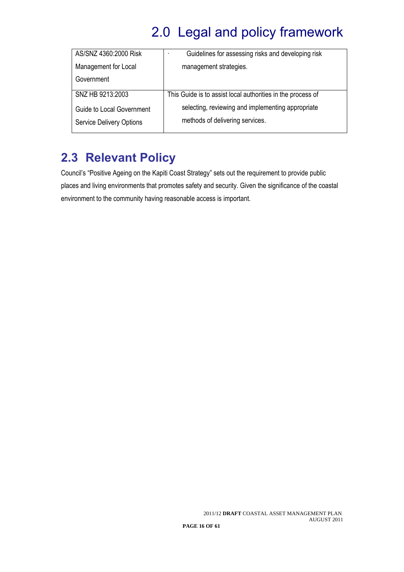# 2.0 Legal and policy framework

| AS/SNZ 4360:2000 Risk                                               | Guidelines for assessing risks and developing risk<br>$\mathbf{r}$                   |
|---------------------------------------------------------------------|--------------------------------------------------------------------------------------|
| Management for Local                                                | management strategies.                                                               |
| Government                                                          |                                                                                      |
| SNZ HB 9213:2003                                                    | This Guide is to assist local authorities in the process of                          |
| <b>Guide to Local Government</b><br><b>Service Delivery Options</b> | selecting, reviewing and implementing appropriate<br>methods of delivering services. |

## **2.3 Relevant Policy**

Council's "Positive Ageing on the Kapiti Coast Strategy" sets out the requirement to provide public places and living environments that promotes safety and security. Given the significance of the coastal environment to the community having reasonable access is important.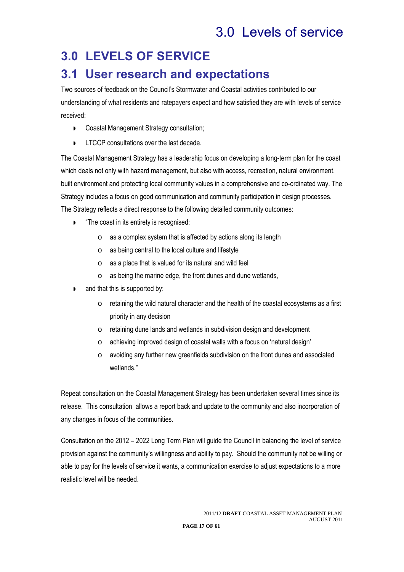## **3.0 LEVELS OF SERVICE**

### **3.1 User research and expectations**

Two sources of feedback on the Council's Stormwater and Coastal activities contributed to our understanding of what residents and ratepayers expect and how satisfied they are with levels of service received:

- **D** Coastal Management Strategy consultation;
- **LTCCP** consultations over the last decade.

The Coastal Management Strategy has a leadership focus on developing a long-term plan for the coast which deals not only with hazard management, but also with access, recreation, natural environment, built environment and protecting local community values in a comprehensive and co-ordinated way. The Strategy includes a focus on good communication and community participation in design processes. The Strategy reflects a direct response to the following detailed community outcomes:

- "The coast in its entirety is recognised:
	- o as a complex system that is affected by actions along its length
	- o as being central to the local culture and lifestyle
	- o as a place that is valued for its natural and wild feel
	- o as being the marine edge, the front dunes and dune wetlands,
- and that this is supported by:
	- o retaining the wild natural character and the health of the coastal ecosystems as a first priority in any decision
	- o retaining dune lands and wetlands in subdivision design and development
	- o achieving improved design of coastal walls with a focus on 'natural design'
	- o avoiding any further new greenfields subdivision on the front dunes and associated wetlands."

Repeat consultation on the Coastal Management Strategy has been undertaken several times since its release. This consultation allows a report back and update to the community and also incorporation of any changes in focus of the communities.

Consultation on the 2012 – 2022 Long Term Plan will guide the Council in balancing the level of service provision against the community's willingness and ability to pay. Should the community not be willing or able to pay for the levels of service it wants, a communication exercise to adjust expectations to a more realistic level will be needed.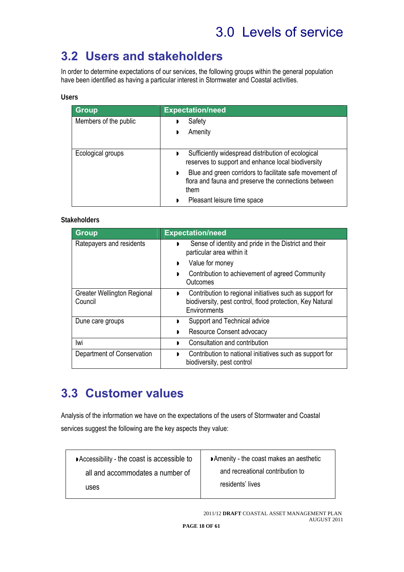## **3.2 Users and stakeholders**

In order to determine expectations of our services, the following groups within the general population have been identified as having a particular interest in Stormwater and Coastal activities.

#### **Users**

| <b>Group</b>          | <b>Expectation/need</b>                                                                                                      |
|-----------------------|------------------------------------------------------------------------------------------------------------------------------|
| Members of the public | Safety                                                                                                                       |
|                       | Amenity<br>Þ                                                                                                                 |
| Ecological groups     | Sufficiently widespread distribution of ecological<br>▶<br>reserves to support and enhance local biodiversity                |
|                       | Blue and green corridors to facilitate safe movement of<br>D<br>flora and fauna and preserve the connections between<br>them |
|                       | Pleasant leisure time space                                                                                                  |

### **Stakeholders**

| <b>Group</b>                                  | <b>Expectation/need</b>                                                                                                                                 |
|-----------------------------------------------|---------------------------------------------------------------------------------------------------------------------------------------------------------|
| Ratepayers and residents                      | Sense of identity and pride in the District and their<br>$\blacksquare$<br>particular area within it                                                    |
|                                               | Value for money<br>$\blacksquare$                                                                                                                       |
|                                               | Contribution to achievement of agreed Community<br>Outcomes                                                                                             |
| <b>Greater Wellington Regional</b><br>Council | Contribution to regional initiatives such as support for<br>$\blacksquare$<br>biodiversity, pest control, flood protection, Key Natural<br>Environments |
| Dune care groups                              | Support and Technical advice<br>D                                                                                                                       |
|                                               | Resource Consent advocacy<br>D                                                                                                                          |
| lwi                                           | Consultation and contribution<br>D                                                                                                                      |
| Department of Conservation                    | Contribution to national initiatives such as support for<br>biodiversity, pest control                                                                  |

### **3.3 Customer values**

Analysis of the information we have on the expectations of the users of Stormwater and Coastal services suggest the following are the key aspects they value:

| ■ Accessibility - the coast is accessible to | ■ Amenity - the coast makes an aesthetic |
|----------------------------------------------|------------------------------------------|
| all and accommodates a number of             | and recreational contribution to         |
| uses                                         | residents' lives                         |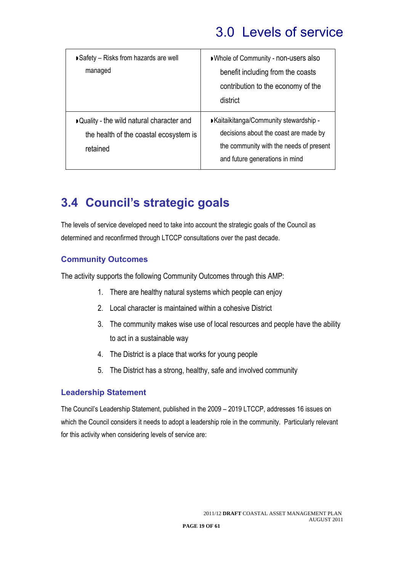| Safety - Risks from hazards are well<br>managed                                                  | ■ Whole of Community - non-users also<br>benefit including from the coasts<br>contribution to the economy of the<br>district                                  |
|--------------------------------------------------------------------------------------------------|---------------------------------------------------------------------------------------------------------------------------------------------------------------|
| ▶ Quality - the wild natural character and<br>the health of the coastal ecosystem is<br>retained | ■ Kaitaikitanga/Community stewardship -<br>decisions about the coast are made by<br>the community with the needs of present<br>and future generations in mind |

## **3.4 Council's strategic goals**

The levels of service developed need to take into account the strategic goals of the Council as determined and reconfirmed through LTCCP consultations over the past decade.

### **Community Outcomes**

The activity supports the following Community Outcomes through this AMP:

- 1. There are healthy natural systems which people can enjoy
- 2. Local character is maintained within a cohesive District
- 3. The community makes wise use of local resources and people have the ability to act in a sustainable way
- 4. The District is a place that works for young people
- 5. The District has a strong, healthy, safe and involved community

### **Leadership Statement**

The Council's Leadership Statement, published in the 2009 – 2019 LTCCP, addresses 16 issues on which the Council considers it needs to adopt a leadership role in the community. Particularly relevant for this activity when considering levels of service are: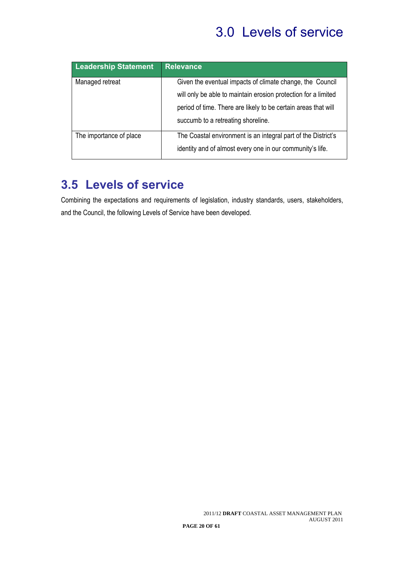| <b>Leadership Statement</b> | <b>Relevance</b>                                               |
|-----------------------------|----------------------------------------------------------------|
| Managed retreat             | Given the eventual impacts of climate change, the Council      |
|                             | will only be able to maintain erosion protection for a limited |
|                             | period of time. There are likely to be certain areas that will |
|                             | succumb to a retreating shoreline.                             |
| The importance of place     | The Coastal environment is an integral part of the District's  |
|                             | identity and of almost every one in our community's life.      |

### **3.5 Levels of service**

Combining the expectations and requirements of legislation, industry standards, users, stakeholders, and the Council, the following Levels of Service have been developed.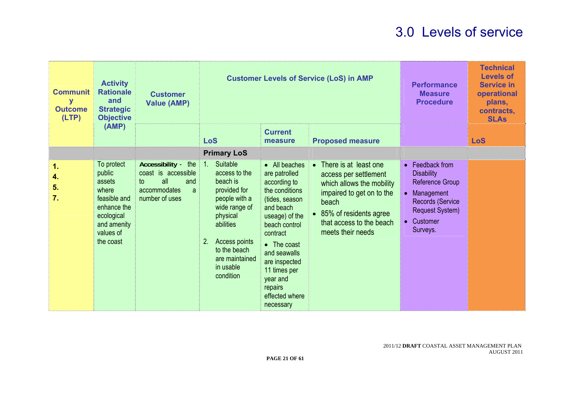| <b>Communit</b><br>y<br><b>Outcome</b><br>(LTP) | <b>Activity</b><br><b>Rationale</b><br>and<br><b>Strategic</b><br><b>Objective</b><br>(AMP)                                   | <b>Customer</b><br><b>Value (AMP)</b>                                                                 |                                                                                                                                                                                                                       |                                                                                                                                                                                                                                                                      | <b>Customer Levels of Service (LoS) in AMP</b>                                                                                                                                                            | <b>Performance</b><br><b>Measure</b><br><b>Procedure</b>                                                                                               | <b>Technical</b><br><b>Levels of</b><br><b>Service in</b><br>operational<br>plans,<br>contracts,<br><b>SLAs</b> |
|-------------------------------------------------|-------------------------------------------------------------------------------------------------------------------------------|-------------------------------------------------------------------------------------------------------|-----------------------------------------------------------------------------------------------------------------------------------------------------------------------------------------------------------------------|----------------------------------------------------------------------------------------------------------------------------------------------------------------------------------------------------------------------------------------------------------------------|-----------------------------------------------------------------------------------------------------------------------------------------------------------------------------------------------------------|--------------------------------------------------------------------------------------------------------------------------------------------------------|-----------------------------------------------------------------------------------------------------------------|
|                                                 |                                                                                                                               |                                                                                                       | <b>LoS</b>                                                                                                                                                                                                            | <b>Current</b><br>measure                                                                                                                                                                                                                                            | <b>Proposed measure</b>                                                                                                                                                                                   |                                                                                                                                                        | <b>LoS</b>                                                                                                      |
|                                                 |                                                                                                                               |                                                                                                       | <b>Primary LoS</b>                                                                                                                                                                                                    |                                                                                                                                                                                                                                                                      |                                                                                                                                                                                                           |                                                                                                                                                        |                                                                                                                 |
| 1.<br>4.<br>5.<br>7.                            | To protect<br>public<br>assets<br>where<br>feasible and<br>enhance the<br>ecological<br>and amenity<br>values of<br>the coast | Accessibility - the<br>coast is accessible<br>all<br>and<br>to<br>accommodates<br>a<br>number of uses | Suitable<br>1 <sub>1</sub><br>access to the<br>beach is<br>provided for<br>people with a<br>wide range of<br>physical<br>abilities<br>Access points<br>2.<br>to the beach<br>are maintained<br>in usable<br>condition | • All beaches<br>are patrolled<br>according to<br>the conditions<br>(tides, season<br>and beach<br>useage) of the<br>beach control<br>contract<br>• The coast<br>and seawalls<br>are inspected<br>11 times per<br>year and<br>repairs<br>effected where<br>necessary | There is at least one<br>$\bullet$<br>access per settlement<br>which allows the mobility<br>impaired to get on to the<br>beach<br>85% of residents agree<br>that access to the beach<br>meets their needs | • Feedback from<br><b>Disability</b><br>Reference Group<br>• Management<br><b>Records (Service</b><br><b>Request System)</b><br>• Customer<br>Surveys. |                                                                                                                 |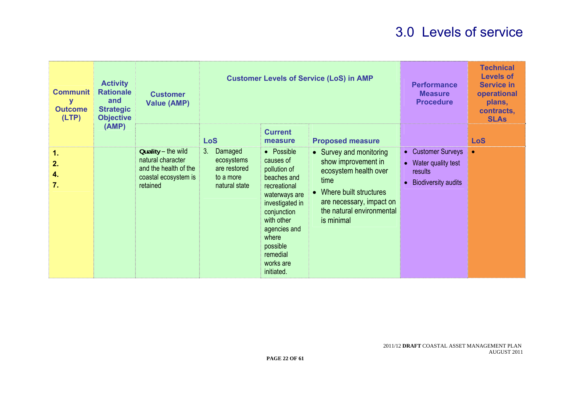| <b>Communit</b><br>y<br><b>Outcome</b><br>(LTP) | <b>Activity</b><br><b>Rationale</b><br>and<br><b>Strategic</b><br><b>Objective</b> | <b>Customer</b><br><b>Value (AMP)</b>                                                                |                                                                           | <b>Customer Levels of Service (LoS) in AMP</b>                                                                                                                                                                      |                                                                                                                                                                                  | <b>Performance</b><br><b>Measure</b><br><b>Procedure</b> | <b>Technical</b><br><b>Levels of</b><br><b>Service in</b><br>operational<br>plans,<br>contracts,<br><b>SLAs</b> |            |
|-------------------------------------------------|------------------------------------------------------------------------------------|------------------------------------------------------------------------------------------------------|---------------------------------------------------------------------------|---------------------------------------------------------------------------------------------------------------------------------------------------------------------------------------------------------------------|----------------------------------------------------------------------------------------------------------------------------------------------------------------------------------|----------------------------------------------------------|-----------------------------------------------------------------------------------------------------------------|------------|
|                                                 | (AMP)                                                                              |                                                                                                      | <b>LoS</b>                                                                | <b>Current</b><br>measure                                                                                                                                                                                           | <b>Proposed measure</b>                                                                                                                                                          |                                                          |                                                                                                                 | <b>LoS</b> |
| 1.<br>2.<br>4.<br>7.                            |                                                                                    | Quality - the wild<br>natural character<br>and the health of the<br>coastal ecosystem is<br>retained | 3.<br>Damaged<br>ecosystems<br>are restored<br>to a more<br>natural state | • Possible<br>causes of<br>pollution of<br>beaches and<br>recreational<br>waterways are<br>investigated in<br>conjunction<br>with other<br>agencies and<br>where<br>possible<br>remedial<br>works are<br>initiated. | • Survey and monitoring<br>show improvement in<br>ecosystem health over<br>time<br>Where built structures<br>are necessary, impact on<br>the natural environmental<br>is minimal | $\bullet$                                                | • Customer Surveys<br>• Water quality test<br>results<br><b>Biodiversity audits</b>                             | $\bullet$  |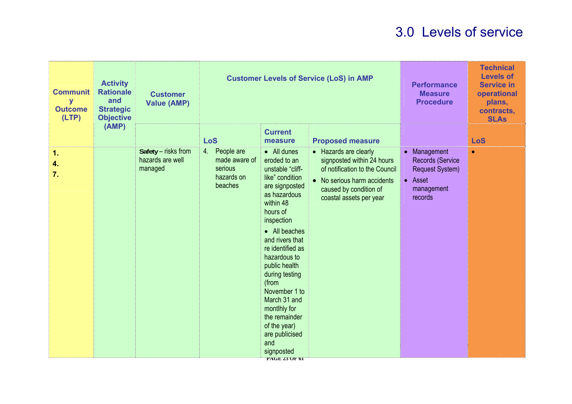| <b>Communit</b><br>y<br><b>Outcome</b><br>(LTP) | <b>Activity</b><br><b>Rationale</b><br>and<br><b>Strategic</b><br><b>Objective</b> | <b>Customer</b><br><b>Value (AMP)</b>              |                                                                    | <b>Customer Levels of Service (LoS) in AMP</b>                                                                                                                                                                                                                                                                                                                                                            | <b>Performance</b><br><b>Measure</b><br><b>Procedure</b>                                                                                                                  | <b>Technical</b><br><b>Levels of</b><br><b>Service in</b><br>operational<br>plans,<br>contracts,<br><b>SLAs</b> |            |
|-------------------------------------------------|------------------------------------------------------------------------------------|----------------------------------------------------|--------------------------------------------------------------------|-----------------------------------------------------------------------------------------------------------------------------------------------------------------------------------------------------------------------------------------------------------------------------------------------------------------------------------------------------------------------------------------------------------|---------------------------------------------------------------------------------------------------------------------------------------------------------------------------|-----------------------------------------------------------------------------------------------------------------|------------|
|                                                 | (AMP)                                                                              |                                                    | <b>LoS</b>                                                         | <b>Current</b><br>measure                                                                                                                                                                                                                                                                                                                                                                                 | <b>Proposed measure</b>                                                                                                                                                   |                                                                                                                 | <b>LoS</b> |
| 1.<br>4.<br>7.                                  |                                                                                    | Safety - risks from<br>hazards are well<br>managed | 4. People are<br>made aware of<br>serious<br>hazards on<br>beaches | • All dunes<br>eroded to an<br>unstable "cliff-<br>like" condition<br>are signposted<br>as hazardous<br>within 48<br>hours of<br>inspection<br>• All beaches<br>and rivers that<br>re identified as<br>hazardous to<br>public health<br>during testing<br>(from<br>November 1 to<br>March 31 and<br>montlhly for<br>the remainder<br>of the year)<br>are publicised<br>and<br>signposted<br>PAGE 23 OF 01 | • Hazards are clearly<br>signposted within 24 hours<br>of notification to the Council<br>• No serious harm accidents<br>caused by condition of<br>coastal assets per year | • Management<br><b>Records (Service</b><br><b>Request System)</b><br>• Asset<br>management<br>records           | $\bullet$  |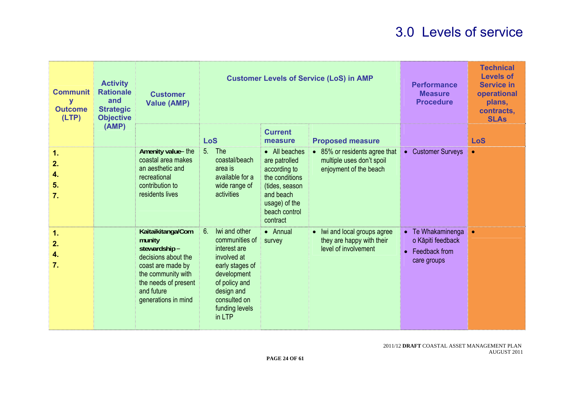| <b>Communit</b><br>y<br><b>Outcome</b><br>(LTP) | <b>Activity</b><br><b>Rationale</b><br>and<br><b>Strategic</b><br><b>Objective</b> | <b>Customer</b><br><b>Value (AMP)</b>                                                                                                                                      |                                                                                                                                                                                   | <b>Customer Levels of Service (LoS) in AMP</b>                                                                                                | <b>Performance</b><br><b>Measure</b><br><b>Procedure</b>                             | <b>Technical</b><br><b>Levels of</b><br><b>Service in</b><br>operational<br>plans,<br>contracts,<br><b>SLAs</b> |            |
|-------------------------------------------------|------------------------------------------------------------------------------------|----------------------------------------------------------------------------------------------------------------------------------------------------------------------------|-----------------------------------------------------------------------------------------------------------------------------------------------------------------------------------|-----------------------------------------------------------------------------------------------------------------------------------------------|--------------------------------------------------------------------------------------|-----------------------------------------------------------------------------------------------------------------|------------|
|                                                 | (AMP)                                                                              |                                                                                                                                                                            | <b>LoS</b>                                                                                                                                                                        | <b>Current</b><br>measure                                                                                                                     | <b>Proposed measure</b>                                                              |                                                                                                                 | <b>LoS</b> |
| 1.<br>2.<br>4.<br>5.<br>7.                      |                                                                                    | Amenity value-the<br>coastal area makes<br>an aesthetic and<br>recreational<br>contribution to<br>residents lives                                                          | <b>The</b><br>5 <sub>1</sub><br>coastal/beach<br>area is<br>available for a<br>wide range of<br>activities                                                                        | • All beaches<br>are patrolled<br>according to<br>the conditions<br>(tides, season<br>and beach<br>usage) of the<br>beach control<br>contract | • 85% or residents agree that<br>multiple uses don't spoil<br>enjoyment of the beach | • Customer Surveys                                                                                              |            |
| 1.<br>2.<br>4.<br>7.                            |                                                                                    | Kaitaikitanga/Com<br>munity<br>stewardship-<br>decisions about the<br>coast are made by<br>the community with<br>the needs of present<br>and future<br>generations in mind | 6.<br>Iwi and other<br>communities of<br>interest are<br>involved at<br>early stages of<br>development<br>of policy and<br>design and<br>consulted on<br>funding levels<br>in LTP | • Annual<br>survey                                                                                                                            | • Iwi and local groups agree<br>they are happy with their<br>level of involvement    | • Te Whakaminenga<br>o Kāpiti feedback<br>• Feedback from<br>care groups                                        |            |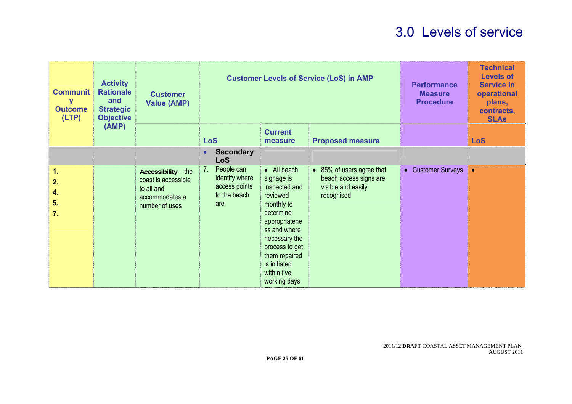| <b>Communit</b><br>у<br><b>Outcome</b><br>(LTP) | <b>Activity</b><br><b>Rationale</b><br>and<br><b>Strategic</b><br><b>Objective</b> | <b>Customer</b><br><b>Value (AMP)</b>                                                        |                                                                      | <b>Customer Levels of Service (LoS) in AMP</b>                                                                                                                                                                        | <b>Performance</b><br><b>Measure</b><br><b>Procedure</b>                                | <b>Technical</b><br><b>Levels of</b><br><b>Service in</b><br>operational<br>plans,<br>contracts,<br><b>SLAs</b> |           |
|-------------------------------------------------|------------------------------------------------------------------------------------|----------------------------------------------------------------------------------------------|----------------------------------------------------------------------|-----------------------------------------------------------------------------------------------------------------------------------------------------------------------------------------------------------------------|-----------------------------------------------------------------------------------------|-----------------------------------------------------------------------------------------------------------------|-----------|
|                                                 | (AMP)                                                                              |                                                                                              | <b>LoS</b>                                                           | <b>Current</b><br>measure                                                                                                                                                                                             |                                                                                         | <b>LoS</b>                                                                                                      |           |
|                                                 |                                                                                    |                                                                                              | <b>Secondary</b><br>$\bullet$<br><b>LoS</b>                          |                                                                                                                                                                                                                       |                                                                                         |                                                                                                                 |           |
| $\mathbf 1$ .<br>2.<br>4.<br>5.<br>7.           |                                                                                    | Accessibility - the<br>coast is accessible<br>to all and<br>accommodates a<br>number of uses | People can<br>identify where<br>access points<br>to the beach<br>are | • All beach<br>signage is<br>inspected and<br>reviewed<br>monthly to<br>determine<br>appropriatene<br>ss and where<br>necessary the<br>process to get<br>them repaired<br>is initiated<br>within five<br>working days | • 85% of users agree that<br>beach access signs are<br>visible and easily<br>recognised | • Customer Surveys                                                                                              | $\bullet$ |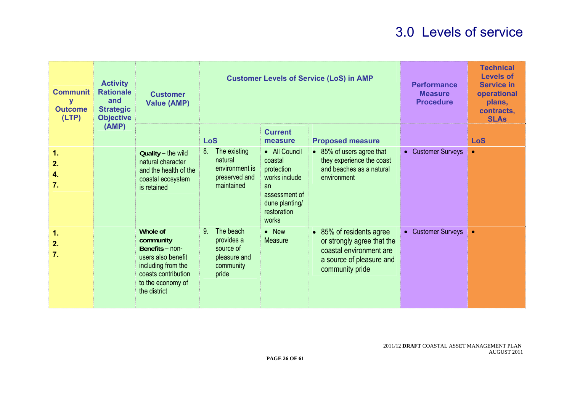| <b>Communit</b><br>y<br><b>Outcome</b><br>(LTP) | <b>Activity</b><br><b>Rationale</b><br>and<br><b>Strategic</b><br><b>Objective</b> | <b>Customer</b><br><b>Value (AMP)</b>                                                                                                            |                                                                                              | <b>Customer Levels of Service (LoS) in AMP</b>                                                                           | <b>Performance</b><br><b>Measure</b><br><b>Procedure</b>                                                                         | <b>Technical</b><br><b>Levels of</b><br><b>Service in</b><br>operational<br>plans,<br>contracts,<br><b>SLAs</b> |                |
|-------------------------------------------------|------------------------------------------------------------------------------------|--------------------------------------------------------------------------------------------------------------------------------------------------|----------------------------------------------------------------------------------------------|--------------------------------------------------------------------------------------------------------------------------|----------------------------------------------------------------------------------------------------------------------------------|-----------------------------------------------------------------------------------------------------------------|----------------|
|                                                 | (AMP)                                                                              |                                                                                                                                                  | <b>LoS</b>                                                                                   | <b>Current</b><br>measure                                                                                                | <b>Proposed measure</b>                                                                                                          |                                                                                                                 | <b>LoS</b>     |
| 1.<br>2.<br>4.<br>7.                            |                                                                                    | Quality - the wild<br>natural character<br>and the health of the<br>coastal ecosystem<br>is retained                                             | The existing<br>8.<br>natural<br>environment is<br>preserved and<br>maintained               | • All Council<br>coastal<br>protection<br>works include<br>an<br>assessment of<br>dune planting/<br>restoration<br>works | • 85% of users agree that<br>they experience the coast<br>and beaches as a natural<br>environment                                | • Customer Surveys                                                                                              | $\bullet$      |
| 1.<br>2.<br>7.                                  |                                                                                    | Whole of<br>community<br>Benefits - non-<br>users also benefit<br>including from the<br>coasts contribution<br>to the economy of<br>the district | 9 <sub>1</sub><br>The beach<br>provides a<br>source of<br>pleasure and<br>community<br>pride | $\bullet$ New<br><b>Measure</b>                                                                                          | • 85% of residents agree<br>or strongly agree that the<br>coastal environment are<br>a source of pleasure and<br>community pride | • Customer Surveys                                                                                              | $\blacksquare$ |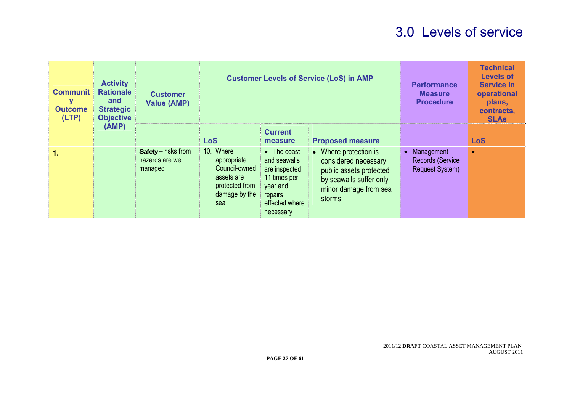| <b>Communit</b><br>У<br><b>Outcome</b><br>(LTP) | <b>Activity</b><br><b>Rationale</b><br>and<br><b>Strategic</b><br><b>Objective</b> | <b>Customer</b><br><b>Value (AMP)</b>              |                                                                                                   | <b>Customer Levels of Service (LoS) in AMP</b>                                                                             |                                                                                                                                         |                                                                   | <b>Technical</b><br><b>Levels of</b><br><b>Service in</b><br>operational<br>plans,<br>contracts,<br><b>SLAs</b> |
|-------------------------------------------------|------------------------------------------------------------------------------------|----------------------------------------------------|---------------------------------------------------------------------------------------------------|----------------------------------------------------------------------------------------------------------------------------|-----------------------------------------------------------------------------------------------------------------------------------------|-------------------------------------------------------------------|-----------------------------------------------------------------------------------------------------------------|
| (AMP)                                           |                                                                                    |                                                    | <b>LoS</b>                                                                                        | <b>Current</b><br>measure                                                                                                  | <b>Proposed measure</b>                                                                                                                 |                                                                   | <b>LoS</b>                                                                                                      |
| 1.                                              |                                                                                    | Safety - risks from<br>hazards are well<br>managed | 10. Where<br>appropriate<br>Council-owned<br>assets are<br>protected from<br>damage by the<br>sea | $\bullet$ The coast<br>and seawalls<br>are inspected<br>11 times per<br>year and<br>repairs<br>effected where<br>necessary | • Where protection is<br>considered necessary,<br>public assets protected<br>by seawalls suffer only<br>minor damage from sea<br>storms | • Management<br><b>Records (Service</b><br><b>Request System)</b> | $\bullet$                                                                                                       |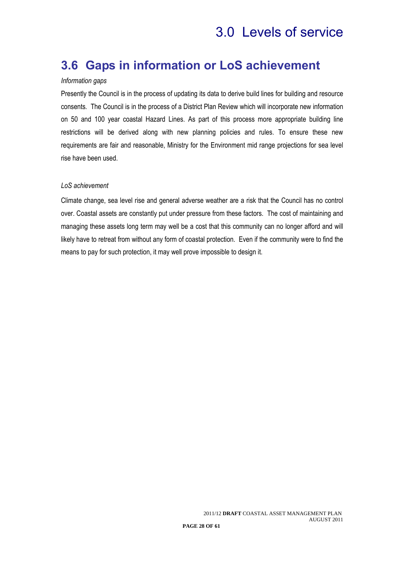### **3.6 Gaps in information or LoS achievement**

#### *Information gaps*

Presently the Council is in the process of updating its data to derive build lines for building and resource consents*.* The Council is in the process of a District Plan Review which will incorporate new information on 50 and 100 year coastal Hazard Lines. As part of this process more appropriate building line restrictions will be derived along with new planning policies and rules. To ensure these new requirements are fair and reasonable, Ministry for the Environment mid range projections for sea level rise have been used.

#### *LoS achievement*

Climate change, sea level rise and general adverse weather are a risk that the Council has no control over. Coastal assets are constantly put under pressure from these factors. The cost of maintaining and managing these assets long term may well be a cost that this community can no longer afford and will likely have to retreat from without any form of coastal protection. Even if the community were to find the means to pay for such protection, it may well prove impossible to design it.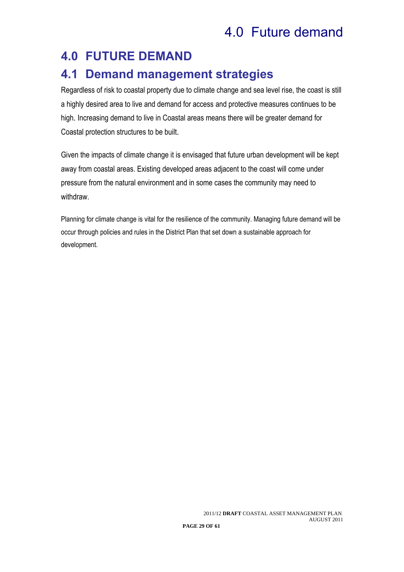## 4.0 Future demand

## **4.0 FUTURE DEMAND**

### **4.1 Demand management strategies**

Regardless of risk to coastal property due to climate change and sea level rise, the coast is still a highly desired area to live and demand for access and protective measures continues to be high. Increasing demand to live in Coastal areas means there will be greater demand for Coastal protection structures to be built.

Given the impacts of climate change it is envisaged that future urban development will be kept away from coastal areas. Existing developed areas adjacent to the coast will come under pressure from the natural environment and in some cases the community may need to withdraw.

Planning for climate change is vital for the resilience of the community. Managing future demand will be occur through policies and rules in the District Plan that set down a sustainable approach for development.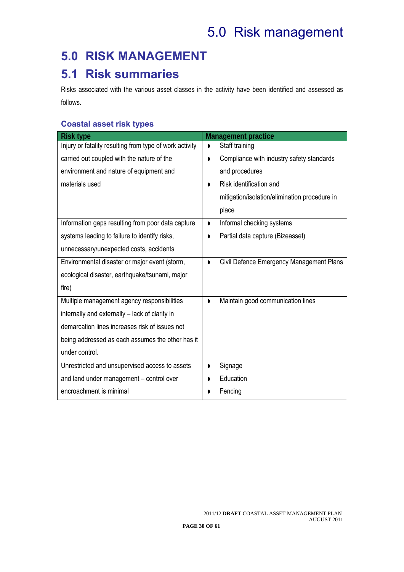# 5.0 Risk management

## **5.0 RISK MANAGEMENT**

### **5.1 Risk summaries**

Risks associated with the various asset classes in the activity have been identified and assessed as follows.

### **Coastal asset risk types**

| <b>Risk type</b>                                        | <b>Management practice</b>                                 |
|---------------------------------------------------------|------------------------------------------------------------|
| Injury or fatality resulting from type of work activity | Staff training                                             |
| carried out coupled with the nature of the              | Compliance with industry safety standards                  |
| environment and nature of equipment and                 | and procedures                                             |
| materials used                                          | Risk identification and<br>D                               |
|                                                         | mitigation/isolation/elimination procedure in              |
|                                                         | place                                                      |
| Information gaps resulting from poor data capture       | Informal checking systems<br>D                             |
| systems leading to failure to identify risks,           | Partial data capture (Bizeasset)                           |
| unnecessary/unexpected costs, accidents                 |                                                            |
| Environmental disaster or major event (storm,           | Civil Defence Emergency Management Plans<br>$\blacksquare$ |
| ecological disaster, earthquake/tsunami, major          |                                                            |
| fire)                                                   |                                                            |
| Multiple management agency responsibilities             | Maintain good communication lines<br>D                     |
| internally and externally – lack of clarity in          |                                                            |
| demarcation lines increases risk of issues not          |                                                            |
| being addressed as each assumes the other has it        |                                                            |
| under control.                                          |                                                            |
| Unrestricted and unsupervised access to assets          | Signage<br>D                                               |
| and land under management - control over                | Education                                                  |
| encroachment is minimal                                 | Fencing<br>D                                               |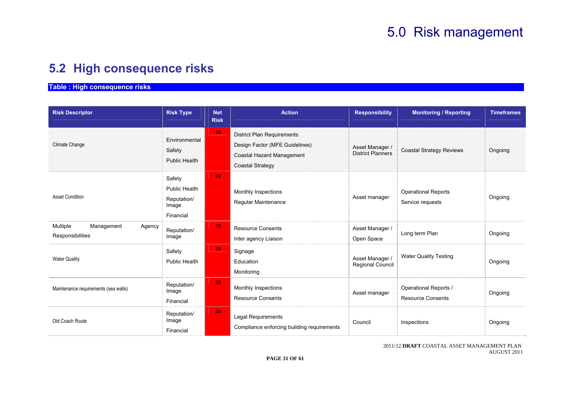## 5.0 Risk management

### **5.2 High consequence risks**

**Table : High consequence risks** 

| <b>Risk Descriptor</b>                               | <b>Risk Type</b>                                             | <b>Net</b><br><b>Risk</b> | <b>Action</b>                                                                                                               | <b>Responsibility</b>                       | <b>Monitoring / Reporting</b>                     | <b>Timeframes</b> |
|------------------------------------------------------|--------------------------------------------------------------|---------------------------|-----------------------------------------------------------------------------------------------------------------------------|---------------------------------------------|---------------------------------------------------|-------------------|
| Climate Change                                       | Environmental<br>Safety<br>Public Health                     | 20                        | <b>District Plan Requirements</b><br>Design Factor (MFE Guidelines)<br>Coastal Hazard Management<br><b>Coastal Strategy</b> | Asset Manager /<br><b>District Planners</b> | <b>Coastal Strategy Reviews</b>                   | Ongoing           |
| <b>Asset Condition</b>                               | Safety<br>Public Health<br>Reputation/<br>Image<br>Financial | 20                        | Monthly Inspections<br>Regular Maintenance                                                                                  | Asset manager                               | <b>Operational Reports</b><br>Service requests    | Ongoing           |
| Multiple<br>Management<br>Agency<br>Responsibilities | Reputation/<br>Image                                         | 15                        | <b>Resource Consents</b><br>Inter agency Liaison                                                                            | Asset Manager /<br>Open Space               | Long term Plan                                    | Ongoing           |
| <b>Water Quality</b>                                 | Safety<br>Public Health                                      | 20                        | Signage<br>Education<br>Monitoring                                                                                          | Asset Manager /<br>Regional Council         | <b>Water Quality Testing</b>                      | Ongoing           |
| Maintenance requirements (sea walls)                 | Reputation/<br>Image<br>Financial                            | 20                        | Monthly Inspections<br><b>Resource Consents</b>                                                                             | Asset manager                               | Operational Reports /<br><b>Resource Consents</b> | Ongoing           |
| Old Coach Route                                      | Reputation/<br>Image<br>Financial                            | 20                        | <b>Legal Requirements</b><br>Compliance enforcing building requirements                                                     | Council                                     | Inspections                                       | Ongoing           |

2011/12 **DRAFT** COASTAL ASSET MANAGEMENT PLAN AUGUST 2011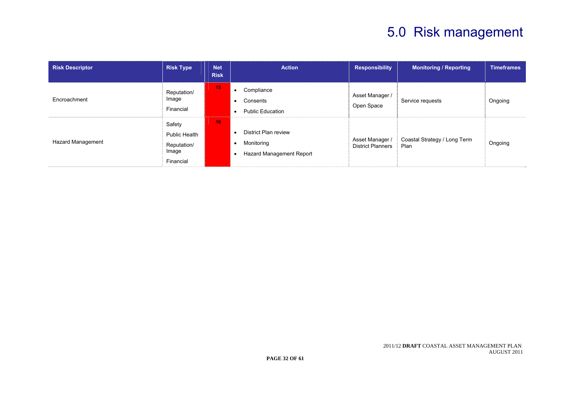# 5.0 Risk management

| <b>Risk Descriptor</b>   | <b>Risk Type</b>                                             | <b>Net</b><br><b>Risk</b> | <b>Action</b>                                                                           | <b>Responsibility</b>                       | <b>Monitoring / Reporting</b>        | <b>Timeframes</b> |
|--------------------------|--------------------------------------------------------------|---------------------------|-----------------------------------------------------------------------------------------|---------------------------------------------|--------------------------------------|-------------------|
| Encroachment             | Reputation/<br>Image<br>Financial                            | 15                        | Compliance<br>Consents<br>٠<br><b>Public Education</b><br>٠                             | Asset Manager /<br>Open Space               | Service requests                     | Ongoing           |
| <b>Hazard Management</b> | Safety<br>Public Health<br>Reputation/<br>Image<br>Financial | 16                        | <b>District Plan review</b><br>Monitoring<br>$\bullet$<br>Hazard Management Report<br>٠ | Asset Manager /<br><b>District Planners</b> | Coastal Strategy / Long Term<br>Plan | Ongoing           |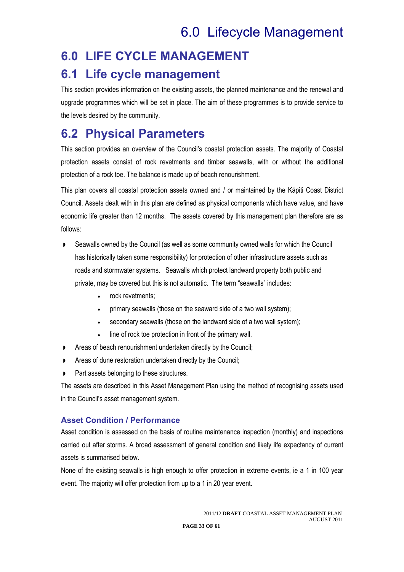## **6.0 LIFE CYCLE MANAGEMENT**

### **6.1 Life cycle management**

This section provides information on the existing assets, the planned maintenance and the renewal and upgrade programmes which will be set in place. The aim of these programmes is to provide service to the levels desired by the community.

### **6.2 Physical Parameters**

This section provides an overview of the Council's coastal protection assets. The majority of Coastal protection assets consist of rock revetments and timber seawalls, with or without the additional protection of a rock toe. The balance is made up of beach renourishment.

This plan covers all coastal protection assets owned and / or maintained by the Kāpiti Coast District Council. Assets dealt with in this plan are defined as physical components which have value, and have economic life greater than 12 months. The assets covered by this management plan therefore are as follows:

- Seawalls owned by the Council (as well as some community owned walls for which the Council has historically taken some responsibility) for protection of other infrastructure assets such as roads and stormwater systems. Seawalls which protect landward property both public and private, may be covered but this is not automatic. The term "seawalls" includes:
	- rock revetments:
	- primary seawalls (those on the seaward side of a two wall system);
	- secondary seawalls (those on the landward side of a two wall system);
	- line of rock toe protection in front of the primary wall.
- **Areas of beach renourishment undertaken directly by the Council;**
- Areas of dune restoration undertaken directly by the Council;
- Part assets belonging to these structures.

The assets are described in this Asset Management Plan using the method of recognising assets used in the Council's asset management system.

### **Asset Condition / Performance**

Asset condition is assessed on the basis of routine maintenance inspection (monthly) and inspections carried out after storms. A broad assessment of general condition and likely life expectancy of current assets is summarised below.

None of the existing seawalls is high enough to offer protection in extreme events, ie a 1 in 100 year event. The majority will offer protection from up to a 1 in 20 year event.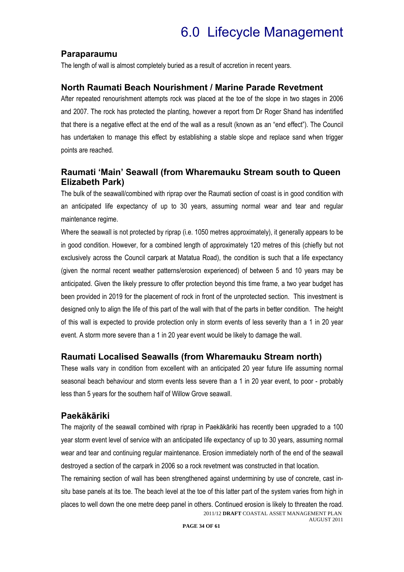### **Paraparaumu**

The length of wall is almost completely buried as a result of accretion in recent years.

### **North Raumati Beach Nourishment / Marine Parade Revetment**

After repeated renourishment attempts rock was placed at the toe of the slope in two stages in 2006 and 2007. The rock has protected the planting, however a report from Dr Roger Shand has indentified that there is a negative effect at the end of the wall as a result (known as an "end effect"). The Council has undertaken to manage this effect by establishing a stable slope and replace sand when trigger points are reached.

### **Raumati 'Main' Seawall (from Wharemauku Stream south to Queen Elizabeth Park)**

The bulk of the seawall/combined with riprap over the Raumati section of coast is in good condition with an anticipated life expectancy of up to 30 years, assuming normal wear and tear and regular maintenance regime.

Where the seawall is not protected by riprap (i.e. 1050 metres approximately), it generally appears to be in good condition. However, for a combined length of approximately 120 metres of this (chiefly but not exclusively across the Council carpark at Matatua Road), the condition is such that a life expectancy (given the normal recent weather patterns/erosion experienced) of between 5 and 10 years may be anticipated. Given the likely pressure to offer protection beyond this time frame, a two year budget has been provided in 2019 for the placement of rock in front of the unprotected section. This investment is designed only to align the life of this part of the wall with that of the parts in better condition. The height of this wall is expected to provide protection only in storm events of less severity than a 1 in 20 year event. A storm more severe than a 1 in 20 year event would be likely to damage the wall.

### **Raumati Localised Seawalls (from Wharemauku Stream north)**

These walls vary in condition from excellent with an anticipated 20 year future life assuming normal seasonal beach behaviour and storm events less severe than a 1 in 20 year event, to poor - probably less than 5 years for the southern half of Willow Grove seawall.

#### **Paekākāriki**

The majority of the seawall combined with riprap in Paekākāriki has recently been upgraded to a 100 year storm event level of service with an anticipated life expectancy of up to 30 years, assuming normal wear and tear and continuing regular maintenance. Erosion immediately north of the end of the seawall destroyed a section of the carpark in 2006 so a rock revetment was constructed in that location.

2011/12 **DRAFT** COASTAL ASSET MANAGEMENT PLAN AUGUST 2011 The remaining section of wall has been strengthened against undermining by use of concrete, cast insitu base panels at its toe. The beach level at the toe of this latter part of the system varies from high in places to well down the one metre deep panel in others. Continued erosion is likely to threaten the road.

**PAGE 34 OF 61**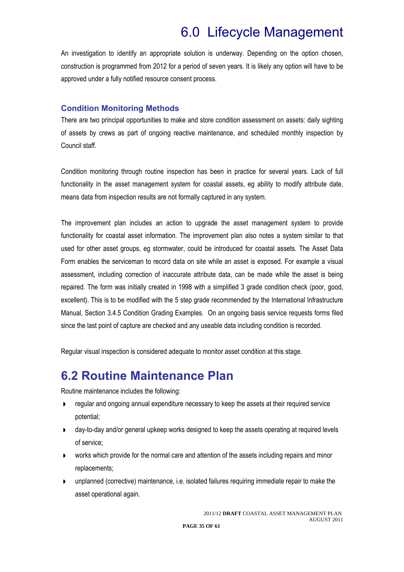An investigation to identify an appropriate solution is underway. Depending on the option chosen, construction is programmed from 2012 for a period of seven years. It is likely any option will have to be approved under a fully notified resource consent process.

### **Condition Monitoring Methods**

There are two principal opportunities to make and store condition assessment on assets: daily sighting of assets by crews as part of ongoing reactive maintenance, and scheduled monthly inspection by Council staff.

Condition monitoring through routine inspection has been in practice for several years. Lack of full functionality in the asset management system for coastal assets, eg ability to modify attribute date, means data from inspection results are not formally captured in any system.

The improvement plan includes an action to upgrade the asset management system to provide functionality for coastal asset information. The improvement plan also notes a system similar to that used for other asset groups, eg stormwater, could be introduced for coastal assets. The Asset Data Form enables the serviceman to record data on site while an asset is exposed. For example a visual assessment, including correction of inaccurate attribute data, can be made while the asset is being repaired. The form was initially created in 1998 with a simplified 3 grade condition check (poor, good, excellent). This is to be modified with the 5 step grade recommended by the International Infrastructure Manual, Section 3.4.5 Condition Grading Examples. On an ongoing basis service requests forms filed since the last point of capture are checked and any useable data including condition is recorded.

Regular visual inspection is considered adequate to monitor asset condition at this stage.

### **6.2 Routine Maintenance Plan**

Routine maintenance includes the following:

- **Performally** regular and ongoing annual expenditure necessary to keep the assets at their required service potential;
- day-to-day and/or general upkeep works designed to keep the assets operating at required levels of service;
- works which provide for the normal care and attention of the assets including repairs and minor replacements;
- unplanned (corrective) maintenance, i.e. isolated failures requiring immediate repair to make the asset operational again.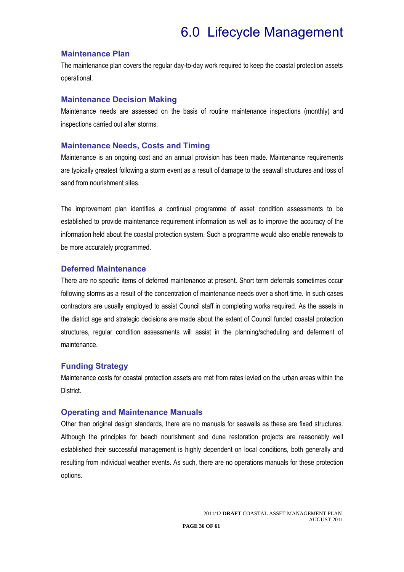#### **Maintenance Plan**

The maintenance plan covers the regular day-to-day work required to keep the coastal protection assets operational.

#### **Maintenance Decision Making**

Maintenance needs are assessed on the basis of routine maintenance inspections (monthly) and inspections carried out after storms.

#### **Maintenance Needs, Costs and Timing**

Maintenance is an ongoing cost and an annual provision has been made. Maintenance requirements are typically greatest following a storm event as a result of damage to the seawall structures and loss of sand from nourishment sites.

The improvement plan identifies a continual programme of asset condition assessments to be established to provide maintenance requirement information as well as to improve the accuracy of the information held about the coastal protection system. Such a programme would also enable renewals to be more accurately programmed.

#### **Deferred Maintenance**

There are no specific items of deferred maintenance at present. Short term deferrals sometimes occur following storms as a result of the concentration of maintenance needs over a short time. In such cases contractors are usually employed to assist Council staff in completing works required. As the assets in the district age and strategic decisions are made about the extent of Council funded coastal protection structures, regular condition assessments will assist in the planning/scheduling and deferment of maintenance.

### **Funding Strategy**

Maintenance costs for coastal protection assets are met from rates levied on the urban areas within the District.

#### **Operating and Maintenance Manuals**

Other than original design standards, there are no manuals for seawalls as these are fixed structures. Although the principles for beach nourishment and dune restoration projects are reasonably well established their successful management is highly dependent on local conditions, both generally and resulting from individual weather events. As such, there are no operations manuals for these protection options.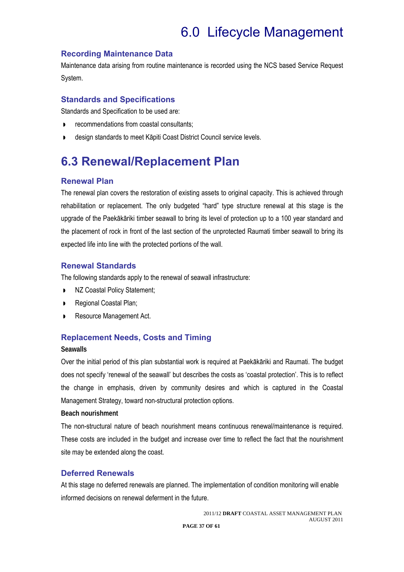### **Recording Maintenance Data**

Maintenance data arising from routine maintenance is recorded using the NCS based Service Request System.

### **Standards and Specifications**

Standards and Specification to be used are:

- recommendations from coastal consultants;
- design standards to meet Kāpiti Coast District Council service levels.

### **6.3 Renewal/Replacement Plan**

### **Renewal Plan**

The renewal plan covers the restoration of existing assets to original capacity. This is achieved through rehabilitation or replacement. The only budgeted "hard" type structure renewal at this stage is the upgrade of the Paekākāriki timber seawall to bring its level of protection up to a 100 year standard and the placement of rock in front of the last section of the unprotected Raumati timber seawall to bring its expected life into line with the protected portions of the wall.

### **Renewal Standards**

The following standards apply to the renewal of seawall infrastructure:

- $NZ$  Coastal Policy Statement;
- Regional Coastal Plan;
- Resource Management Act.

### **Replacement Needs, Costs and Timing**

#### **Seawalls**

Over the initial period of this plan substantial work is required at Paekākāriki and Raumati. The budget does not specify 'renewal of the seawall' but describes the costs as 'coastal protection'. This is to reflect the change in emphasis, driven by community desires and which is captured in the Coastal Management Strategy, toward non-structural protection options.

#### **Beach nourishment**

The non-structural nature of beach nourishment means continuous renewal/maintenance is required. These costs are included in the budget and increase over time to reflect the fact that the nourishment site may be extended along the coast.

### **Deferred Renewals**

At this stage no deferred renewals are planned. The implementation of condition monitoring will enable informed decisions on renewal deferment in the future.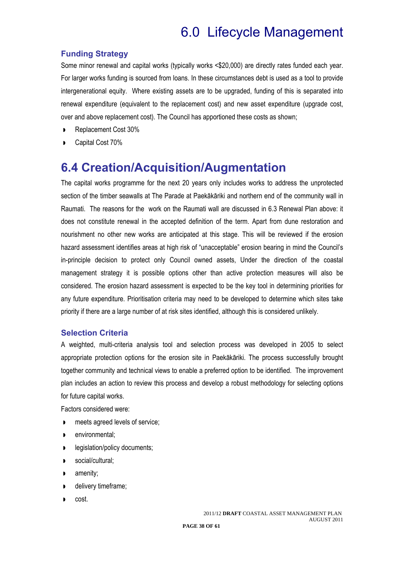### **Funding Strategy**

Some minor renewal and capital works (typically works <\$20,000) are directly rates funded each year. For larger works funding is sourced from loans. In these circumstances debt is used as a tool to provide intergenerational equity. Where existing assets are to be upgraded, funding of this is separated into renewal expenditure (equivalent to the replacement cost) and new asset expenditure (upgrade cost, over and above replacement cost). The Council has apportioned these costs as shown;

- Replacement Cost 30%
- Capital Cost 70%

### **6.4 Creation/Acquisition/Augmentation**

The capital works programme for the next 20 years only includes works to address the unprotected section of the timber seawalls at The Parade at Paekākāriki and northern end of the community wall in Raumati. The reasons for the work on the Raumati wall are discussed in 6.3 Renewal Plan above: it does not constitute renewal in the accepted definition of the term. Apart from dune restoration and nourishment no other new works are anticipated at this stage. This will be reviewed if the erosion hazard assessment identifies areas at high risk of "unacceptable" erosion bearing in mind the Council's in-principle decision to protect only Council owned assets, Under the direction of the coastal management strategy it is possible options other than active protection measures will also be considered. The erosion hazard assessment is expected to be the key tool in determining priorities for any future expenditure. Prioritisation criteria may need to be developed to determine which sites take priority if there are a large number of at risk sites identified, although this is considered unlikely.

### **Selection Criteria**

A weighted, multi-criteria analysis tool and selection process was developed in 2005 to select appropriate protection options for the erosion site in Paekākāriki. The process successfully brought together community and technical views to enable a preferred option to be identified. The improvement plan includes an action to review this process and develop a robust methodology for selecting options for future capital works.

Factors considered were:

- meets agreed levels of service;
- **P** environmental;
- legislation/policy documents;
- social/cultural;
- **amenity:**
- delivery timeframe;
- cost.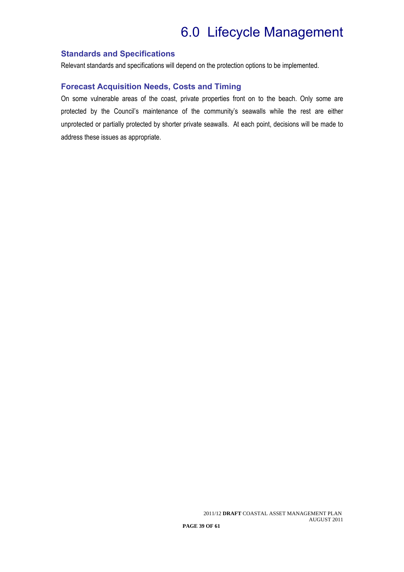### **Standards and Specifications**

Relevant standards and specifications will depend on the protection options to be implemented.

### **Forecast Acquisition Needs, Costs and Timing**

On some vulnerable areas of the coast, private properties front on to the beach. Only some are protected by the Council's maintenance of the community's seawalls while the rest are either unprotected or partially protected by shorter private seawalls. At each point, decisions will be made to address these issues as appropriate.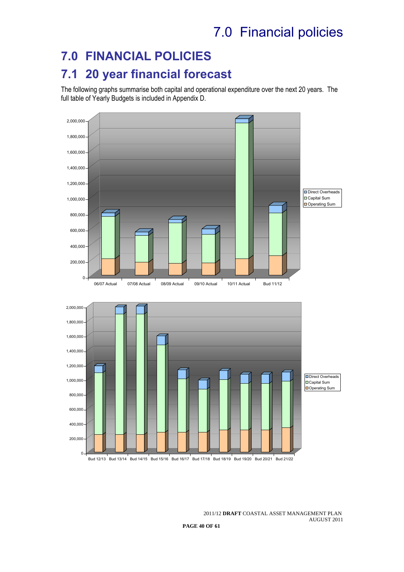## 7.0 Financial policies

## **7.0 FINANCIAL POLICIES**

## **7.1 20 year financial forecast**

The following graphs summarise both capital and operational expenditure over the next 20 years. The full table of Yearly Budgets is included in Appendix D.

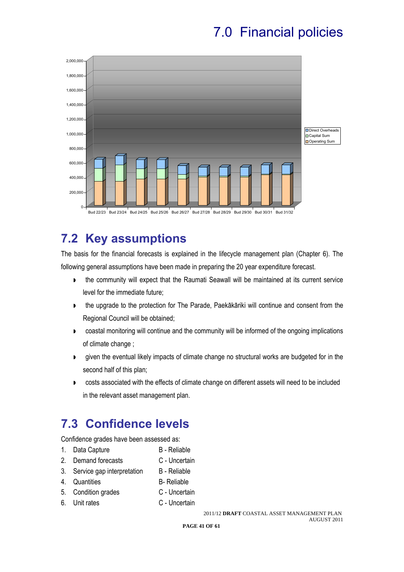## 7.0 Financial policies



## **7.2 Key assumptions**

The basis for the financial forecasts is explained in the lifecycle management plan (Chapter 6). The following general assumptions have been made in preparing the 20 year expenditure forecast.

- the community will expect that the Raumati Seawall will be maintained at its current service level for the immediate future;
- **the upgrade to the protection for The Parade, Paekākāriki will continue and consent from the** Regional Council will be obtained;
- coastal monitoring will continue and the community will be informed of the ongoing implications of climate change ;
- given the eventual likely impacts of climate change no structural works are budgeted for in the second half of this plan;
- **DEDED EXECTS** costs associated with the effects of climate change on different assets will need to be included in the relevant asset management plan.

### **7.3 Confidence levels**

Confidence grades have been assessed as:

- 1. Data Capture B Reliable
- 2. Demand forecasts C Uncertain
- 3. Service gap interpretation B Reliable
- 4. Quantities B- Reliable
- 5. Condition grades **C** Uncertain
- 6. Unit rates C Uncertain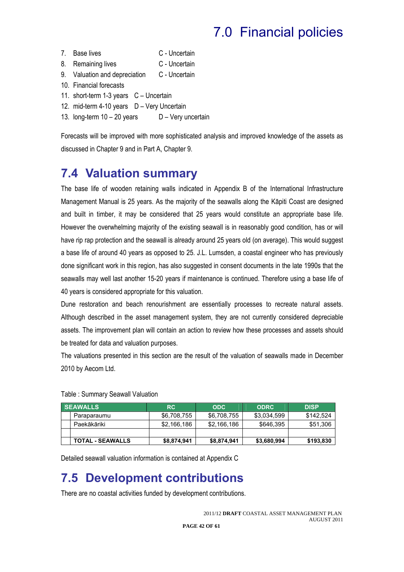# 7.0 Financial policies

- 7. Base lives C Uncertain
- 8. Remaining lives C Uncertain
- 9. Valuation and depreciation C Uncertain
- 10. Financial forecasts
- 11. short-term 1-3 years C Uncertain
- 12. mid-term 4-10 years D Very Uncertain
- 13. long-term  $10 20$  years  $D -$  Very uncertain

Forecasts will be improved with more sophisticated analysis and improved knowledge of the assets as discussed in Chapter 9 and in Part A, Chapter 9.

### **7.4 Valuation summary**

The base life of wooden retaining walls indicated in Appendix B of the International Infrastructure Management Manual is 25 years. As the majority of the seawalls along the Kāpiti Coast are designed and built in timber, it may be considered that 25 years would constitute an appropriate base life. However the overwhelming majority of the existing seawall is in reasonably good condition, has or will have rip rap protection and the seawall is already around 25 years old (on average). This would suggest a base life of around 40 years as opposed to 25. J.L. Lumsden, a coastal engineer who has previously done significant work in this region, has also suggested in consent documents in the late 1990s that the seawalls may well last another 15-20 years if maintenance is continued. Therefore using a base life of 40 years is considered appropriate for this valuation.

Dune restoration and beach renourishment are essentially processes to recreate natural assets. Although described in the asset management system, they are not currently considered depreciable assets. The improvement plan will contain an action to review how these processes and assets should be treated for data and valuation purposes.

The valuations presented in this section are the result of the valuation of seawalls made in December 2010 by Aecom Ltd.

| <b>SEAWALLS</b>         | RC.         | <b>ODC</b>  | <b>ODRC</b> | <b>DISP</b> |
|-------------------------|-------------|-------------|-------------|-------------|
| Paraparaumu             | \$6,708,755 | \$6,708,755 | \$3,034,599 | \$142,524   |
| Paekākāriki             | \$2,166,186 | \$2,166,186 | \$646,395   | \$51,306    |
|                         |             |             |             |             |
| <b>TOTAL - SEAWALLS</b> | \$8,874,941 | \$8,874,941 | \$3,680,994 | \$193,830   |

#### Table : Summary Seawall Valuation

Detailed seawall valuation information is contained at Appendix C

### **7.5 Development contributions**

There are no coastal activities funded by development contributions.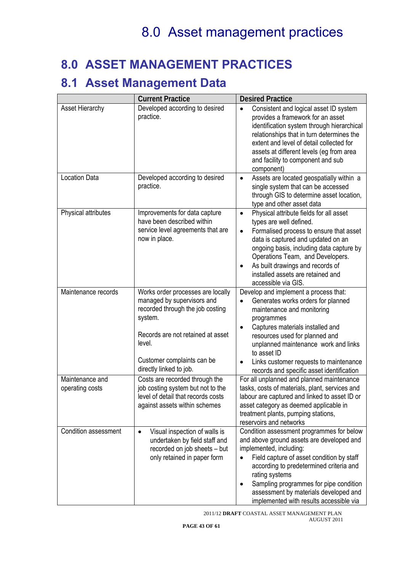### **8.0 ASSET MANAGEMENT PRACTICES**

### **8.1 Asset Management Data**

|                                    | <b>Current Practice</b>                                                                                                                                                                                                | <b>Desired Practice</b>                                                                                                                                                                                                                                                                                                                                                     |
|------------------------------------|------------------------------------------------------------------------------------------------------------------------------------------------------------------------------------------------------------------------|-----------------------------------------------------------------------------------------------------------------------------------------------------------------------------------------------------------------------------------------------------------------------------------------------------------------------------------------------------------------------------|
| Asset Hierarchy                    | Developed according to desired<br>practice.                                                                                                                                                                            | Consistent and logical asset ID system<br>$\bullet$<br>provides a framework for an asset<br>identification system through hierarchical<br>relationships that in turn determines the<br>extent and level of detail collected for<br>assets at different levels (eg from area<br>and facility to component and sub<br>component)                                              |
| <b>Location Data</b>               | Developed according to desired<br>practice.                                                                                                                                                                            | Assets are located geospatially within a<br>$\bullet$<br>single system that can be accessed<br>through GIS to determine asset location,<br>type and other asset data                                                                                                                                                                                                        |
| Physical attributes                | Improvements for data capture<br>have been described within<br>service level agreements that are<br>now in place.                                                                                                      | Physical attribute fields for all asset<br>$\bullet$<br>types are well defined.<br>Formalised process to ensure that asset<br>$\bullet$<br>data is captured and updated on an<br>ongoing basis, including data capture by<br>Operations Team, and Developers.<br>As built drawings and records of<br>$\bullet$<br>installed assets are retained and<br>accessible via GIS.  |
| Maintenance records                | Works order processes are locally<br>managed by supervisors and<br>recorded through the job costing<br>system.<br>Records are not retained at asset<br>level.<br>Customer complaints can be<br>directly linked to job. | Develop and implement a process that:<br>Generates works orders for planned<br>maintenance and monitoring<br>programmes<br>Captures materials installed and<br>$\bullet$<br>resources used for planned and<br>unplanned maintenance work and links<br>to asset ID<br>Links customer requests to maintenance<br>$\bullet$<br>records and specific asset identification       |
| Maintenance and<br>operating costs | Costs are recorded through the<br>job costing system but not to the<br>level of detail that records costs<br>against assets within schemes                                                                             | For all unplanned and planned maintenance<br>tasks, costs of materials, plant, services and<br>labour are captured and linked to asset ID or<br>asset category as deemed applicable in<br>treatment plants, pumping stations,<br>reservoirs and networks                                                                                                                    |
| Condition assessment               | Visual inspection of walls is<br>$\bullet$<br>undertaken by field staff and<br>recorded on job sheets - but<br>only retained in paper form                                                                             | Condition assessment programmes for below<br>and above ground assets are developed and<br>implemented, including:<br>Field capture of asset condition by staff<br>$\bullet$<br>according to predetermined criteria and<br>rating systems<br>Sampling programmes for pipe condition<br>٠<br>assessment by materials developed and<br>implemented with results accessible via |

2011/12 **DRAFT** COASTAL ASSET MANAGEMENT PLAN AUGUST 2011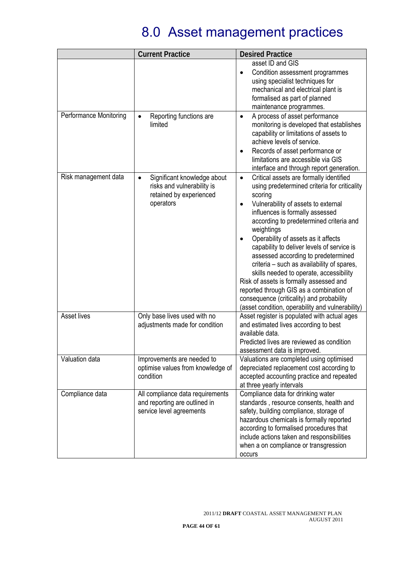|                               | <b>Current Practice</b>                                                                                        | <b>Desired Practice</b>                                                                                                                                                                                                                                                                                                                                                                                                                                                                                                                                                                                                                                                      |
|-------------------------------|----------------------------------------------------------------------------------------------------------------|------------------------------------------------------------------------------------------------------------------------------------------------------------------------------------------------------------------------------------------------------------------------------------------------------------------------------------------------------------------------------------------------------------------------------------------------------------------------------------------------------------------------------------------------------------------------------------------------------------------------------------------------------------------------------|
|                               |                                                                                                                | asset ID and GIS<br>Condition assessment programmes<br>$\bullet$<br>using specialist techniques for<br>mechanical and electrical plant is<br>formalised as part of planned<br>maintenance programmes.                                                                                                                                                                                                                                                                                                                                                                                                                                                                        |
| <b>Performance Monitoring</b> | Reporting functions are<br>$\bullet$<br>limited                                                                | A process of asset performance<br>$\bullet$<br>monitoring is developed that establishes<br>capability or limitations of assets to<br>achieve levels of service.<br>Records of asset performance or<br>$\bullet$<br>limitations are accessible via GIS<br>interface and through report generation.                                                                                                                                                                                                                                                                                                                                                                            |
| Risk management data          | Significant knowledge about<br>$\bullet$<br>risks and vulnerability is<br>retained by experienced<br>operators | Critical assets are formally identified<br>$\bullet$<br>using predetermined criteria for criticality<br>scoring<br>Vulnerability of assets to external<br>influences is formally assessed<br>according to predetermined criteria and<br>weightings<br>Operability of assets as it affects<br>$\bullet$<br>capability to deliver levels of service is<br>assessed according to predetermined<br>criteria - such as availability of spares,<br>skills needed to operate, accessibility<br>Risk of assets is formally assessed and<br>reported through GIS as a combination of<br>consequence (criticality) and probability<br>(asset condition, operability and vulnerability) |
| <b>Asset lives</b>            | Only base lives used with no<br>adjustments made for condition                                                 | Asset register is populated with actual ages<br>and estimated lives according to best<br>available data.<br>Predicted lives are reviewed as condition<br>assessment data is improved.                                                                                                                                                                                                                                                                                                                                                                                                                                                                                        |
| Valuation data                | Improvements are needed to<br>optimise values from knowledge of<br>condition                                   | Valuations are completed using optimised<br>depreciated replacement cost according to<br>accepted accounting practice and repeated<br>at three yearly intervals                                                                                                                                                                                                                                                                                                                                                                                                                                                                                                              |
| Compliance data               | All compliance data requirements<br>and reporting are outlined in<br>service level agreements                  | Compliance data for drinking water<br>standards, resource consents, health and<br>safety, building compliance, storage of<br>hazardous chemicals is formally reported<br>according to formalised procedures that<br>include actions taken and responsibilities<br>when a on compliance or transgression<br>occurs                                                                                                                                                                                                                                                                                                                                                            |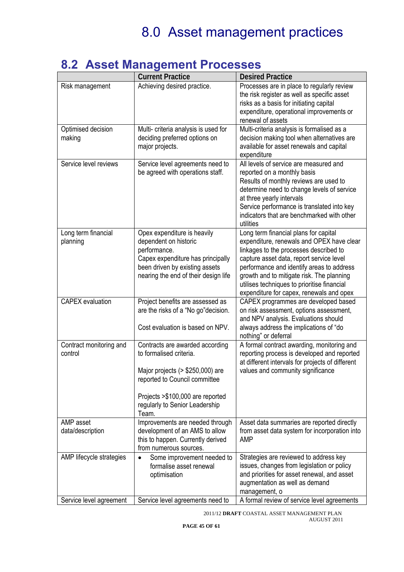| v. 4                               | <b>AUJUL MANAGUNUNIL I TUULJULU</b><br><b>Current Practice</b> | <b>Desired Practice</b>                                                                   |
|------------------------------------|----------------------------------------------------------------|-------------------------------------------------------------------------------------------|
| Risk management                    | Achieving desired practice.                                    | Processes are in place to regularly review                                                |
|                                    |                                                                | the risk register as well as specific asset                                               |
|                                    |                                                                | risks as a basis for initiating capital                                                   |
|                                    |                                                                | expenditure, operational improvements or                                                  |
|                                    |                                                                | renewal of assets                                                                         |
| Optimised decision                 | Multi- criteria analysis is used for                           | Multi-criteria analysis is formalised as a                                                |
| making                             | deciding preferred options on                                  | decision making tool when alternatives are                                                |
|                                    | major projects.                                                | available for asset renewals and capital                                                  |
|                                    |                                                                | expenditure                                                                               |
| Service level reviews              | Service level agreements need to                               | All levels of service are measured and                                                    |
|                                    | be agreed with operations staff.                               | reported on a monthly basis                                                               |
|                                    |                                                                | Results of monthly reviews are used to                                                    |
|                                    |                                                                | determine need to change levels of service                                                |
|                                    |                                                                | at three yearly intervals                                                                 |
|                                    |                                                                | Service performance is translated into key                                                |
|                                    |                                                                | indicators that are benchmarked with other                                                |
|                                    |                                                                | utilities                                                                                 |
| Long term financial                | Opex expenditure is heavily                                    | Long term financial plans for capital                                                     |
| planning                           | dependent on historic                                          | expenditure, renewals and OPEX have clear                                                 |
|                                    | performance.                                                   | linkages to the processes described to                                                    |
|                                    | Capex expenditure has principally                              | capture asset data, report service level                                                  |
|                                    | been driven by existing assets                                 | performance and identify areas to address                                                 |
|                                    | nearing the end of their design life                           | growth and to mitigate risk. The planning                                                 |
|                                    |                                                                | utilises techniques to prioritise financial                                               |
|                                    |                                                                | expenditure for capex, renewals and opex                                                  |
| <b>CAPEX</b> evaluation            | Project benefits are assessed as                               | CAPEX programmes are developed based                                                      |
|                                    | are the risks of a "No go" decision.                           | on risk assessment, options assessment,                                                   |
|                                    |                                                                | and NPV analysis. Evaluations should                                                      |
|                                    | Cost evaluation is based on NPV.                               | always address the implications of "do                                                    |
|                                    |                                                                | nothing" or deferral                                                                      |
| Contract monitoring and<br>control | Contracts are awarded according<br>to formalised criteria.     | A formal contract awarding, monitoring and<br>reporting process is developed and reported |
|                                    |                                                                |                                                                                           |
|                                    | Major projects (> \$250,000) are                               | at different intervals for projects of different                                          |
|                                    | reported to Council committee                                  | values and community significance                                                         |
|                                    |                                                                |                                                                                           |
|                                    | Projects > \$100,000 are reported                              |                                                                                           |
|                                    | regularly to Senior Leadership                                 |                                                                                           |
|                                    | Team.                                                          |                                                                                           |
| AMP asset                          | Improvements are needed through                                | Asset data summaries are reported directly                                                |
| data/description                   | development of an AMS to allow                                 | from asset data system for incorporation into                                             |
|                                    | this to happen. Currently derived                              | <b>AMP</b>                                                                                |
|                                    | from numerous sources.                                         |                                                                                           |
| AMP lifecycle strategies           | Some improvement needed to<br>$\bullet$                        | Strategies are reviewed to address key                                                    |
|                                    | formalise asset renewal                                        | issues, changes from legislation or policy                                                |
|                                    | optimisation                                                   | and priorities for asset renewal, and asset                                               |
|                                    |                                                                | augmentation as well as demand                                                            |
|                                    |                                                                | management, o                                                                             |
| Service level agreement            | Service level agreements need to                               | A formal review of service level agreements                                               |

### **8.2 Asset Management Processes**

2011/12 **DRAFT** COASTAL ASSET MANAGEMENT PLAN AUGUST 2011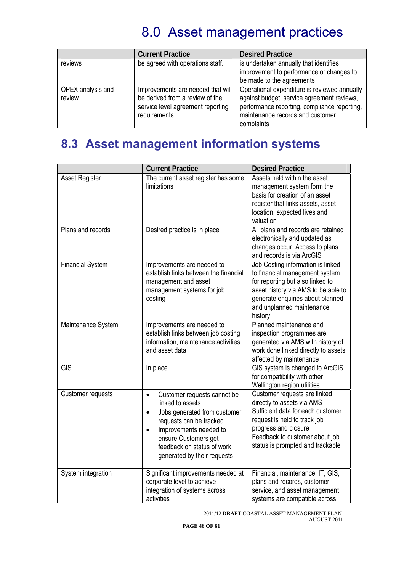|                             | <b>Current Practice</b>                                                                                                    | <b>Desired Practice</b>                                                                                                                                                                      |
|-----------------------------|----------------------------------------------------------------------------------------------------------------------------|----------------------------------------------------------------------------------------------------------------------------------------------------------------------------------------------|
| reviews                     | be agreed with operations staff.                                                                                           | is undertaken annually that identifies<br>improvement to performance or changes to<br>be made to the agreements                                                                              |
| OPEX analysis and<br>review | Improvements are needed that will<br>be derived from a review of the<br>service level agreement reporting<br>requirements. | Operational expenditure is reviewed annually<br>against budget, service agreement reviews,<br>performance reporting, compliance reporting,<br>maintenance records and customer<br>complaints |

## **8.3 Asset management information systems**

|                          | <b>Current Practice</b>                                                                                                                                                                                                                                           | <b>Desired Practice</b>                                                                                                                                                                                                       |
|--------------------------|-------------------------------------------------------------------------------------------------------------------------------------------------------------------------------------------------------------------------------------------------------------------|-------------------------------------------------------------------------------------------------------------------------------------------------------------------------------------------------------------------------------|
| <b>Asset Register</b>    | The current asset register has some<br>limitations                                                                                                                                                                                                                | Assets held within the asset<br>management system form the<br>basis for creation of an asset<br>register that links assets, asset<br>location, expected lives and<br>valuation                                                |
| Plans and records        | Desired practice is in place                                                                                                                                                                                                                                      | All plans and records are retained<br>electronically and updated as<br>changes occur. Access to plans<br>and records is via ArcGIS                                                                                            |
| <b>Financial System</b>  | Improvements are needed to<br>establish links between the financial<br>management and asset<br>management systems for job<br>costing                                                                                                                              | Job Costing information is linked<br>to financial management system<br>for reporting but also linked to<br>asset history via AMS to be able to<br>generate enquiries about planned<br>and unplanned maintenance<br>history    |
| Maintenance System       | Improvements are needed to<br>establish links between job costing<br>information, maintenance activities<br>and asset data                                                                                                                                        | Planned maintenance and<br>inspection programmes are<br>generated via AMS with history of<br>work done linked directly to assets<br>affected by maintenance                                                                   |
| <b>GIS</b>               | In place                                                                                                                                                                                                                                                          | GIS system is changed to ArcGIS<br>for compatibility with other<br>Wellington region utilities                                                                                                                                |
| <b>Customer requests</b> | Customer requests cannot be<br>$\bullet$<br>linked to assets.<br>Jobs generated from customer<br>$\bullet$<br>requests can be tracked<br>Improvements needed to<br>$\bullet$<br>ensure Customers get<br>feedback on status of work<br>generated by their requests | Customer requests are linked<br>directly to assets via AMS<br>Sufficient data for each customer<br>request is held to track job<br>progress and closure<br>Feedback to customer about job<br>status is prompted and trackable |
| System integration       | Significant improvements needed at<br>corporate level to achieve<br>integration of systems across<br>activities                                                                                                                                                   | Financial, maintenance, IT, GIS,<br>plans and records, customer<br>service, and asset management<br>systems are compatible across                                                                                             |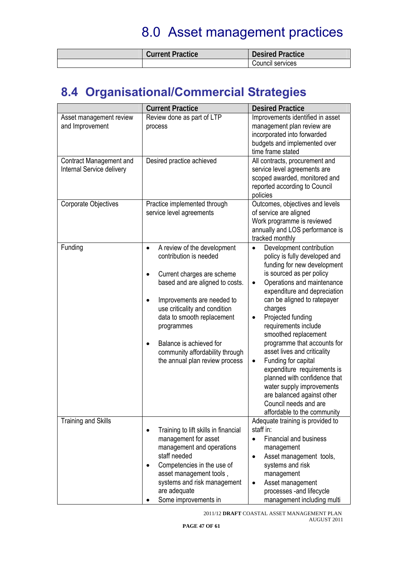| <b>Current Practice</b> | <b>Desired Practice</b> |
|-------------------------|-------------------------|
|                         | Council services        |

## **8.4 Organisational/Commercial Strategies**

|                                                      | <b>Current Practice</b>                                                                                                                                                                                                                                                                                                                                                  | <b>Desired Practice</b>                                                                                                                                                                                                                                                                                                                                                                                                                                                                                                                                                                                                      |
|------------------------------------------------------|--------------------------------------------------------------------------------------------------------------------------------------------------------------------------------------------------------------------------------------------------------------------------------------------------------------------------------------------------------------------------|------------------------------------------------------------------------------------------------------------------------------------------------------------------------------------------------------------------------------------------------------------------------------------------------------------------------------------------------------------------------------------------------------------------------------------------------------------------------------------------------------------------------------------------------------------------------------------------------------------------------------|
| Asset management review<br>and Improvement           | Review done as part of LTP<br>process                                                                                                                                                                                                                                                                                                                                    | Improvements identified in asset<br>management plan review are<br>incorporated into forwarded<br>budgets and implemented over<br>time frame stated                                                                                                                                                                                                                                                                                                                                                                                                                                                                           |
| Contract Management and<br>Internal Service delivery | Desired practice achieved                                                                                                                                                                                                                                                                                                                                                | All contracts, procurement and<br>service level agreements are<br>scoped awarded, monitored and<br>reported according to Council<br>policies                                                                                                                                                                                                                                                                                                                                                                                                                                                                                 |
| <b>Corporate Objectives</b>                          | Practice implemented through<br>service level agreements                                                                                                                                                                                                                                                                                                                 | Outcomes, objectives and levels<br>of service are aligned<br>Work programme is reviewed<br>annually and LOS performance is<br>tracked monthly                                                                                                                                                                                                                                                                                                                                                                                                                                                                                |
| Funding                                              | A review of the development<br>$\bullet$<br>contribution is needed<br>Current charges are scheme<br>based and are aligned to costs.<br>Improvements are needed to<br>$\bullet$<br>use criticality and condition<br>data to smooth replacement<br>programmes<br>Balance is achieved for<br>$\bullet$<br>community affordability through<br>the annual plan review process | Development contribution<br>$\bullet$<br>policy is fully developed and<br>funding for new development<br>is sourced as per policy<br>Operations and maintenance<br>$\bullet$<br>expenditure and depreciation<br>can be aligned to ratepayer<br>charges<br>Projected funding<br>$\bullet$<br>requirements include<br>smoothed replacement<br>programme that accounts for<br>asset lives and criticality<br>Funding for capital<br>$\bullet$<br>expenditure requirements is<br>planned with confidence that<br>water supply improvements<br>are balanced against other<br>Council needs and are<br>affordable to the community |
| <b>Training and Skills</b>                           | Training to lift skills in financial<br>$\bullet$<br>management for asset<br>management and operations<br>staff needed<br>Competencies in the use of<br>$\bullet$<br>asset management tools,<br>systems and risk management<br>are adequate<br>Some improvements in                                                                                                      | Adequate training is provided to<br>staff in:<br><b>Financial and business</b><br>$\bullet$<br>management<br>Asset management tools,<br>$\bullet$<br>systems and risk<br>management<br>Asset management<br>$\bullet$<br>processes - and lifecycle<br>management including multi                                                                                                                                                                                                                                                                                                                                              |

2011/12 **DRAFT** COASTAL ASSET MANAGEMENT PLAN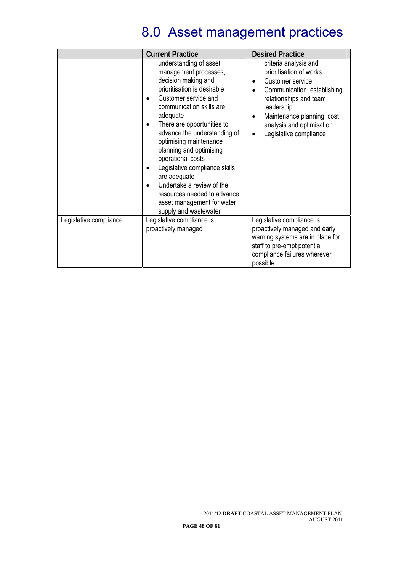|                        | <b>Current Practice</b>                                                                                                                                                                                                                                                                                                                                                                                                                                                                                     | <b>Desired Practice</b>                                                                                                                                                                                                                                                 |
|------------------------|-------------------------------------------------------------------------------------------------------------------------------------------------------------------------------------------------------------------------------------------------------------------------------------------------------------------------------------------------------------------------------------------------------------------------------------------------------------------------------------------------------------|-------------------------------------------------------------------------------------------------------------------------------------------------------------------------------------------------------------------------------------------------------------------------|
|                        | understanding of asset<br>management processes,<br>decision making and<br>prioritisation is desirable<br>Customer service and<br>communication skills are<br>adequate<br>There are opportunities to<br>$\bullet$<br>advance the understanding of<br>optimising maintenance<br>planning and optimising<br>operational costs<br>Legislative compliance skills<br>are adequate<br>Undertake a review of the<br>$\bullet$<br>resources needed to advance<br>asset management for water<br>supply and wastewater | criteria analysis and<br>prioritisation of works<br>Customer service<br>$\bullet$<br>Communication, establishing<br>$\bullet$<br>relationships and team<br>leadership<br>Maintenance planning, cost<br>analysis and optimisation<br>Legislative compliance<br>$\bullet$ |
| Legislative compliance | Legislative compliance is<br>proactively managed                                                                                                                                                                                                                                                                                                                                                                                                                                                            | Legislative compliance is<br>proactively managed and early<br>warning systems are in place for<br>staff to pre-empt potential<br>compliance failures wherever<br>possible                                                                                               |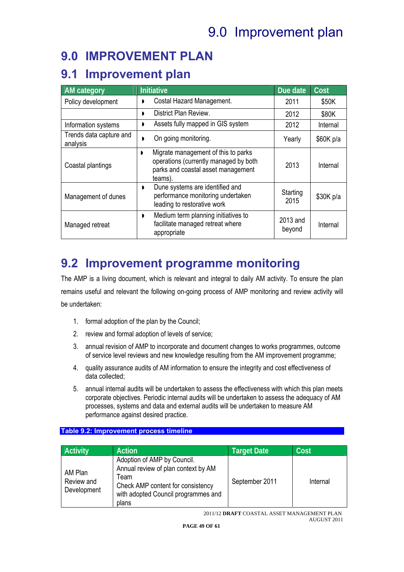# 9.0 Improvement plan

### **9.0 IMPROVEMENT PLAN**

### **9.1 Improvement plan**

| <b>AM</b> category                  | <b>Initiative</b>                                                                                                                  | Due date           | Cost      |
|-------------------------------------|------------------------------------------------------------------------------------------------------------------------------------|--------------------|-----------|
| Policy development                  | Costal Hazard Management.<br>D                                                                                                     | 2011               | \$50K     |
|                                     | District Plan Review.<br>,                                                                                                         | 2012               | \$80K     |
| Information systems                 | Assets fully mapped in GIS system<br>D                                                                                             | 2012               | Internal  |
| Trends data capture and<br>analysis | On going monitoring.<br>,                                                                                                          | Yearly             | \$60K p/a |
| Coastal plantings                   | Migrate management of this to parks<br>,<br>operations (currently managed by both<br>parks and coastal asset management<br>teams). | 2013               | Internal  |
| Management of dunes                 | Dune systems are identified and<br>$\blacksquare$<br>performance monitoring undertaken<br>leading to restorative work              | Starting<br>2015   | \$30K p/a |
| Managed retreat                     | Medium term planning initiatives to<br>$\mathbf{D}$<br>facilitate managed retreat where<br>appropriate                             | 2013 and<br>beyond | Internal  |

## **9.2 Improvement programme monitoring**

The AMP is a living document, which is relevant and integral to daily AM activity. To ensure the plan remains useful and relevant the following on-going process of AMP monitoring and review activity will be undertaken:

- 1. formal adoption of the plan by the Council;
- 2. review and formal adoption of levels of service;
- 3. annual revision of AMP to incorporate and document changes to works programmes, outcome of service level reviews and new knowledge resulting from the AM improvement programme;
- 4. quality assurance audits of AM information to ensure the integrity and cost effectiveness of data collected;
- 5. annual internal audits will be undertaken to assess the effectiveness with which this plan meets corporate objectives. Periodic internal audits will be undertaken to assess the adequacy of AM processes, systems and data and external audits will be undertaken to measure AM performance against desired practice.

### **Table 9.2: Improvement process timeline**

| <b>Activity</b>                      | <b>Action</b>                                                                                                                                                   | <b>Target Date</b> | Cost     |
|--------------------------------------|-----------------------------------------------------------------------------------------------------------------------------------------------------------------|--------------------|----------|
| AM Plan<br>Review and<br>Development | Adoption of AMP by Council.<br>Annual review of plan context by AM<br>Team<br>Check AMP content for consistency<br>with adopted Council programmes and<br>plans | September 2011     | Internal |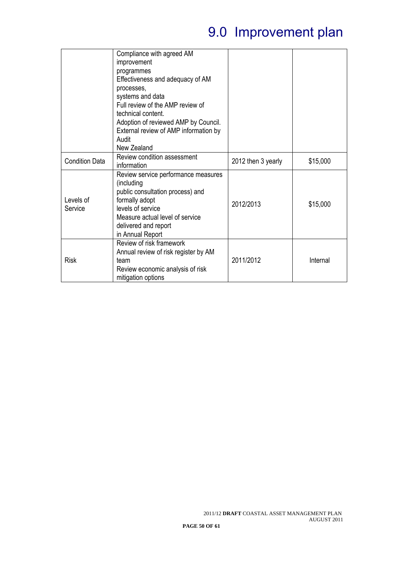# 9.0 Improvement plan

|                       | Compliance with agreed AM<br>improvement<br>programmes<br>Effectiveness and adequacy of AM<br>processes,<br>systems and data<br>Full review of the AMP review of<br>technical content.<br>Adoption of reviewed AMP by Council. |                    |          |
|-----------------------|--------------------------------------------------------------------------------------------------------------------------------------------------------------------------------------------------------------------------------|--------------------|----------|
|                       | External review of AMP information by<br>Audit<br>New Zealand                                                                                                                                                                  |                    |          |
| <b>Condition Data</b> | Review condition assessment<br>information                                                                                                                                                                                     | 2012 then 3 yearly | \$15,000 |
| Levels of<br>Service  | Review service performance measures<br>(including<br>public consultation process) and<br>formally adopt<br>levels of service<br>Measure actual level of service<br>delivered and report<br>in Annual Report                    | 2012/2013          | \$15,000 |
| <b>Risk</b>           | Review of risk framework<br>Annual review of risk register by AM<br>team<br>Review economic analysis of risk<br>mitigation options                                                                                             | 2011/2012          | Internal |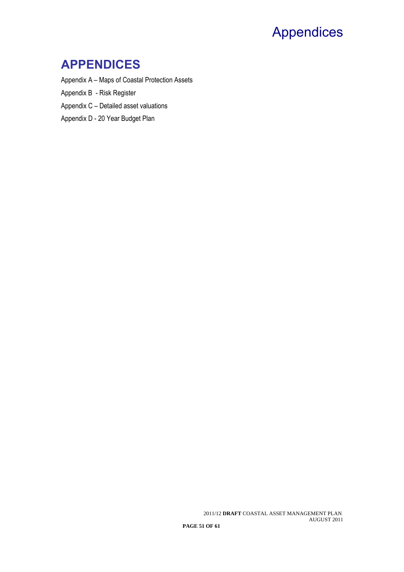## Appendices

### **APPENDICES**

Appendix A – Maps of Coastal Protection Assets

Appendix B - Risk Register

Appendix C – Detailed asset valuations

Appendix D - 20 Year Budget Plan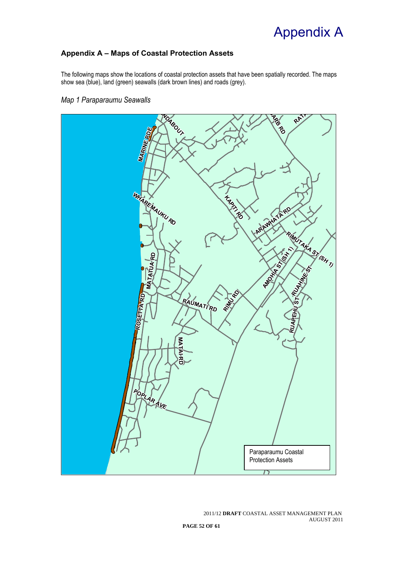## Appendix A

### **Appendix A – Maps of Coastal Protection Assets**

The following maps show the locations of coastal protection assets that have been spatially recorded. The maps show sea (blue), land (green) seawalls (dark brown lines) and roads (grey).

*Map 1 Paraparaumu Seawalls* 

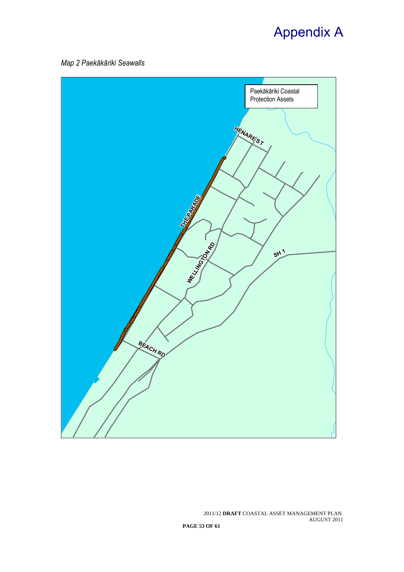# Appendix A

*Map 2 Paekākāriki Seawalls* 

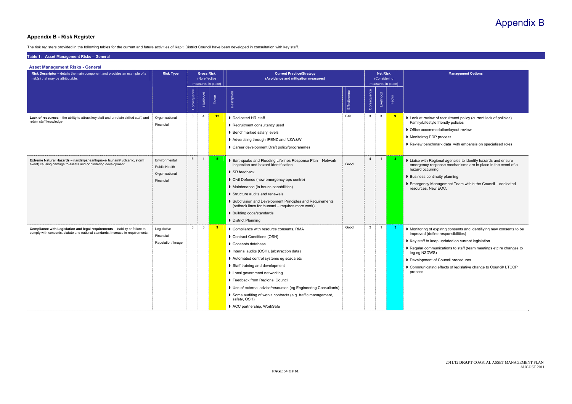#### **Appendix B - Risk Register**

The risk registers provided in the following tables for the current and future activities of Kāpiti District Council have been developed in consultation with key staff.

**Management Options**  Family/Lifestyle friendly policies nmodation/layout review PDP process hmark data with empahsis on specialised roles <sup>2</sup> a 2 a <sup>2</sup> also agencies to identify hazards and ensure esponse mechanisms are in place in the event of a rring ntinuity planning Management Team within the Council - dedicated

> f expiring consents and identifiying new consents to be efine responsibilities)

munications to staff (team meetings etc re changes to VS)

ting effects of legislative change to Council/ LTCCP

| Risk Descriptor - details the main component and provides an example of a<br>risk(s) that may be attributable.                                                  | <b>Risk Type</b>                                                     |                 | <b>Gross Risk</b><br>(No effective | measures in place)      | <b>Current Practice/Strategy</b><br>(Avoidance and mitigation measures)                                                                                                                                                                                                                                                                                                                                                                                                     |               |                | <b>Net Risk</b><br>(Considering | measures in place)      | <b>Management Options</b>                                                                                                                                                                                                                                                                                                                              |
|-----------------------------------------------------------------------------------------------------------------------------------------------------------------|----------------------------------------------------------------------|-----------------|------------------------------------|-------------------------|-----------------------------------------------------------------------------------------------------------------------------------------------------------------------------------------------------------------------------------------------------------------------------------------------------------------------------------------------------------------------------------------------------------------------------------------------------------------------------|---------------|----------------|---------------------------------|-------------------------|--------------------------------------------------------------------------------------------------------------------------------------------------------------------------------------------------------------------------------------------------------------------------------------------------------------------------------------------------------|
|                                                                                                                                                                 |                                                                      | Consequence     | Likelihood                         | Factor                  | Description                                                                                                                                                                                                                                                                                                                                                                                                                                                                 | Effectiveness | Consequence    | Likelihood                      | Factor                  |                                                                                                                                                                                                                                                                                                                                                        |
| Lack of resources - the ability to attract key staff and or retain skilled staff, and<br>retain staff knowledge                                                 | Organisational<br>Financial                                          | $\mathbf{3}$    | $\overline{4}$                     | 12                      | Dedicated HR staff<br>Recruitment consultancy used<br>▶ Benchmarked salary levels<br>Advertising through IPENZ and NZW&W<br>Career development Draft policy/programmes                                                                                                                                                                                                                                                                                                      | Fair          | $\mathbf{3}$   | $\mathbf{3}$                    | $\overline{\mathbf{9}}$ | Look at review of recruitment policy (current lack of policies)<br>Family/Lifestyle friendly policies<br>▶ Office accommodation/layout review<br>Monitoirng PDP process<br>Review benchmark data with empahsis on specialised roles                                                                                                                    |
| <b>Extreme Natural Hazards</b> - (landslips/earthquake/ tsunami/ volcanic, storm<br>event) causing damage to assets and or hindering development.               | Environmental<br><b>Public Health</b><br>Organisational<br>Financial | $5\overline{)}$ | $\overline{1}$                     | -5                      | Earthquake and Flooding Lifelines Response Plan - Network<br>inspection and hazard identification<br>$\triangleright$ SR feedback<br>Civil Defence (new emergency ops centre)<br>Maintenance (in house capabilities)<br>Structure audits and renewals<br><b>D</b> Subdivision and Development Principles and Requirements<br>(setback lines for tsunami - requires more work)<br>▶ Building code/standards<br>District Planning                                             | Good          | $\overline{4}$ |                                 |                         | Liaise with Regional agencies to identify hazards and ensure<br>emergency response mechanisms are in place in the event of<br>hazard occurring<br><b>D</b> Business continuity planning<br>Emergency Management Team within the Council - dedicate<br>resources. New EOC.                                                                              |
| Compliance with Legislation and legal requirements - inability or failure to<br>comply with consents, statute and national standards. Increase in requirements. | Legislative<br>Financial<br>Reputation/ Image                        | $\mathbf{3}$    | $\mathbf{3}$                       | $\overline{\mathbf{9}}$ | Compliance with resource consents, RMA<br>Contract Conditions (OSH)<br>Consents database<br>Internal audits (OSH), (abstraction data)<br>▶ Automated control systems eg scada etc<br>Staff training and development<br><b>D</b> Local government networking<br>Feedback from Regional Council<br>I Use of external advice/resources (eg Engineering Consultants)<br>Some auditing of works contracts (e.g. traffic management,<br>safety, OSH)<br>ACC partnership, WorkSafe | Good          | $\mathbf{3}$   | $\mathbf{1}$                    | $\mathbf{3}$            | Monitoring of expiring consents and identifiying new consent<br>improved (define responsibilities)<br>▶ Key staff to keep updated on current legislation<br>Regular communications to staff (team meetings etc re chan<br>leg eg NZDWS)<br>Development of Council procedures<br>Communicating effects of legislative change to Council/ LTC<br>process |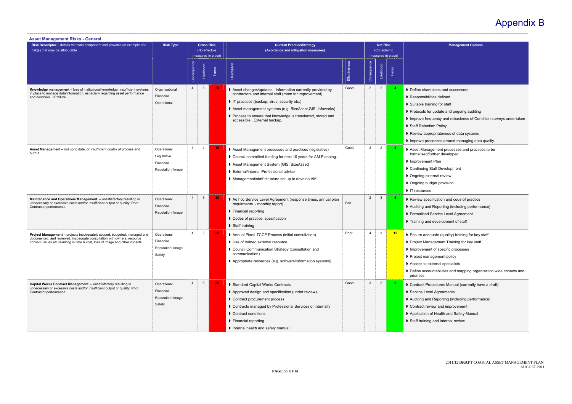- pions and successors
- ties defined
- ning for staff
- r update and ongoing auditing
- uency and robustness of Condition surveys undertaken
- on Policy
- opriateness of data systems
- cesses around managing data quality
- 
- t Plan
- Itaff Development
- ernal review
- dget provision
- **ification and code of practice**
- d Reporting (including performance)
- Service Level Agreement
- I development of staff
- uate (quality) training for key staff
- agement Training for key staff
- t of specific processes
- agement policy
- ternal specialists
- untabilities and mapping organisation wide impacts and
- ocedures Manual (currently have a draft)
- el Agreements
- I Reporting (including performance)
- iew and improvement
- of Health and Safety Manual
- and internal review

| <b>Asset Management Risks - General</b>                                                                                                                                                                                                     |                                                              |                |                                    |                    |                                                                                                                                                                                                                                                                                                                              |               |                |                                 |                      |                                                                                                                                                                                                                                                                                                                   |
|---------------------------------------------------------------------------------------------------------------------------------------------------------------------------------------------------------------------------------------------|--------------------------------------------------------------|----------------|------------------------------------|--------------------|------------------------------------------------------------------------------------------------------------------------------------------------------------------------------------------------------------------------------------------------------------------------------------------------------------------------------|---------------|----------------|---------------------------------|----------------------|-------------------------------------------------------------------------------------------------------------------------------------------------------------------------------------------------------------------------------------------------------------------------------------------------------------------|
| Risk Descriptor - details the main component and provides an example of a<br>risk(s) that may be attributable.                                                                                                                              | <b>Risk Type</b>                                             |                | <b>Gross Risk</b><br>(No effective | measures in place) | <b>Current Practice/Strategy</b><br>(Avoidance and mitigation measures)                                                                                                                                                                                                                                                      |               |                | <b>Net Risk</b><br>(Considering | measures in place)   | <b>Management Options</b>                                                                                                                                                                                                                                                                                         |
|                                                                                                                                                                                                                                             |                                                              | Consequence    | Likelihood                         | Factor             | Description                                                                                                                                                                                                                                                                                                                  | Effectiveness | Consequence    | Likelihood                      | Factor               |                                                                                                                                                                                                                                                                                                                   |
| Knowledge management – loss of institutional knowledge, insufficient systems<br>in place to manage data/information, especially regarding asset performance<br>and condition IT failure.                                                    | Organisational<br>Financial<br>Operational                   | $\overline{4}$ | $5\phantom{.0}$                    | 20                 | Asset changes/updates - Information currently provided by<br>contractors and internal staff (room for improvement)<br>If practices (backup, virus, security etc.)<br>Asset management systems (e.g. BizeAsset, GIS, Infoworks)<br>Process to ensure that knowledge is transferred, stored and<br>accessible External backup. | Good          | $\overline{2}$ | $\overline{2}$                  | 4                    | Define champions and successors<br>Responsibilities defined<br>Suitable training for staff<br>Protocols for update and ongoing auditing<br>Inprove frequency and robustness of Condition su<br>Staff Retention Policy<br>Review appropriateness of data systems<br>Improve processes around managing data quality |
| Asset Management - not up to date, or insufficient quality of process and<br>output.                                                                                                                                                        | Operational<br>Legislative<br>Financial<br>Reputation/ Image | $\overline{4}$ | $\overline{4}$                     | 16                 | Asset Management processes and practices (legislative)<br>Council committed funding for next 10 years for AM Planning.<br>Asset Management System (GIS, BizeAsset)<br>▶ External/internal Professional advice<br>Management/staff structure set up to develop AM                                                             | Good          | 2              | $\overline{2}$                  | $\blacktriangleleft$ | Asset Management processes and practices to be<br>formalised/further developed<br>Improvement Plan<br>Continuing Staff Development<br><b>D</b> Ongoing external review<br>▶ Ongoing budget provision<br>IT resources                                                                                              |
| Maintenance and Operations Management - unsatisfactory resulting in<br>unnecessary or excessive costs and/or insufficient output or quality. Poor<br>Contractor performance.                                                                | Operational<br>Financial<br>Reputation/ Image                | $\overline{4}$ | 5                                  | 20                 | Ad hoc Service Level Agreement (response times, annual plan<br>requirments - monthly report)<br>▶ Financial reporting<br>Codes of practice, specification<br>Staff training                                                                                                                                                  | Fair          | 2              | $\mathbf{3}$                    |                      | Review specification and code of practice<br>Auditing and Reporting (including performance)<br>▶ Formalised Service Level Agreement<br>Training and development of staff                                                                                                                                          |
| <b>Project Management</b> – projects inadequately scoped, budgeted, managed and<br>documented, and reviewed, inadequate consultation with owners, resource<br>consent issues etc resulting in time & cost, loss of image and other impacts. | Operational<br>Financial<br>Reputation/ Image<br>Safety      | $\overline{4}$ | $5\overline{5}$                    | 20 <sub>2</sub>    | Annual Plan/LTCCP Process (initial consultation)<br>■ Use of trained external resource<br>Council Communication Strategy (consultation and<br>communication)<br>Appropriate resources (e.g. software/information systems)                                                                                                    | Poor          | $\overline{4}$ | 3                               | 12                   | ▶ Ensure adequate (quality) training for key staff<br>Project Management Training for key staff<br>Improvement of specific processes<br>Project management policy<br>Access to external specialists<br>Define accountabilities and mapping organisation v<br>priorities                                           |
| Capital Works Contract Management - unsatisfactory resulting in<br>unnecessary or excessive costs and/or insufficient output or quality. Poor<br>Contractor performance.                                                                    | Operational<br>Financial<br>Reputation/ Image<br>Safety      | $\overline{4}$ | $5\phantom{.0}$                    | 20 <sub>2</sub>    | Standard Capital Works Contracts<br>Approved design and specification (under review)<br>Contract procurement process<br>Contracts managed by Professional Services or internally<br>Contract conditions<br>Financial reporting<br>Internal health and safety manual                                                          | Good          | 3              | $\overline{2}$                  | 6.                   | Contract Procedures Manual (currently have a drat<br>Service Level Agreements<br>Auditing and Reporting (including performance)<br>Contract review and improvement<br>Application of Health and Safety Manual<br>Staff training and internal review                                                               |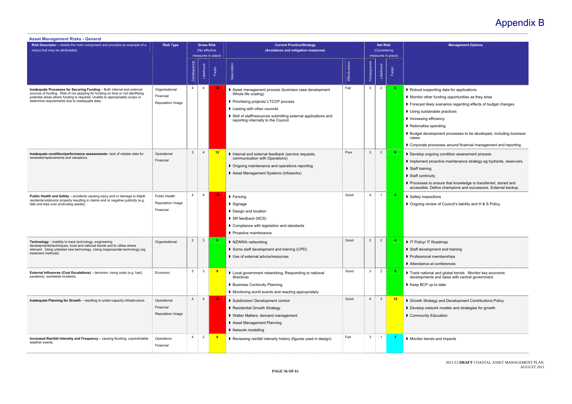2011/12 **DRAFT** COASTAL ASSET MANAGEMENT PLAN AUGUST 2011

**Management Options** 

- porting data for applications
- er funding opportunities as they arise
- ely scenarios regarding effects of budget changes
- inable practices
- efficiency
- spending
- elopment processes to be developed, including business

rocesses around financial management and reporting

- going condition assessment process
- broactive maintenance strategy eg hydrants, reservoirs.

#### uity

o ensure that knowledge is transferred, stored and Define champions and successors. External backup.

- ections
- view of Council's liability and  $H$  & S Policy.

- pment and training
- I memberships
- 

al and global trends. Monitor key economic nts and liaise with central government.

- up to date
- tegy and Development Contributions Policy
- twork models and strategise for growth
- Education

| <b>Asset Management Risks - General</b>                                                                                                                                                                                                                                                    |                                                  |                |                                    |                    |                                                                                                                                                                                                                                                                       |               |                |                                 |                              |                                                                                                                                                                                                                                                      |
|--------------------------------------------------------------------------------------------------------------------------------------------------------------------------------------------------------------------------------------------------------------------------------------------|--------------------------------------------------|----------------|------------------------------------|--------------------|-----------------------------------------------------------------------------------------------------------------------------------------------------------------------------------------------------------------------------------------------------------------------|---------------|----------------|---------------------------------|------------------------------|------------------------------------------------------------------------------------------------------------------------------------------------------------------------------------------------------------------------------------------------------|
| Risk Descriptor - details the main component and provides an example of a<br>risk(s) that may be attributable.                                                                                                                                                                             | <b>Risk Type</b>                                 |                | <b>Gross Risk</b><br>(No effective | measures in place) | <b>Current Practice/Strategy</b><br>(Avoidance and mitigation measures)                                                                                                                                                                                               |               |                | <b>Net Risk</b><br>(Considering |                              | <b>Mana</b>                                                                                                                                                                                                                                          |
|                                                                                                                                                                                                                                                                                            |                                                  | Consequence    | Likelihood                         | Factor             | Description                                                                                                                                                                                                                                                           | Effectiveness | Consequence    | Likelihood                      | measures in place)<br>Factor |                                                                                                                                                                                                                                                      |
| Inadequate Processes for Securing Funding - Both internal and external<br>sources of funding. Risk of not applying for funding on time or not identifying<br>potential areas where funding is required. Unable to appropriately scope or<br>determine requirements due to inadequate data. | Organisational<br>Financial<br>Reputation/ Image | $\overline{4}$ | $\overline{4}$                     | 16 <sub>1</sub>    | Asset management process (business case development<br>Whole life costing)<br>▶ Prioritising projects/ LTCCP process<br><b>I</b> Liaising with other councils<br>Skill of staff/resources submitting external applications and<br>reporting internally to the Council | Fair          | 3              | 2                               | 6                            | Robust supporting data for a<br>Monitor other funding oppor<br>▶ Forecast likely scenarios reg<br>Using sustainable practices<br>Increasing efficiency<br>Rationalise spending<br>▶ Budget development proces<br>cases<br>Corporate processes aroune |
| Inadequate condition/performance assessments- lack of reliable data for<br>renewals/replacements and valuations.                                                                                                                                                                           | Operational<br>Financial                         | 3              | $\overline{4}$                     | 12                 | Internal and external feedback (service requests,<br>communication with Operations)<br>• Ongoing maintenance and operations reporting<br>Asset Management Systems (Infoworks)                                                                                         | Poor          | $\mathbf{3}$   | $\overline{2}$                  | 6.                           | Develop ongoing condition a<br>Implement proactive mainte<br>Staff training<br>Staff continuity<br>Processes to ensure that kn<br>accessible. Define champio                                                                                         |
| Public Health and Safety - accidents causing injury and or damage to Kāpiti<br>residents/visitors/or property resulting in claims and or negative publicity (e.g.<br>falls and trips over protruding assets).                                                                              | Public Health<br>Reputation/ Image<br>Financial  | $\overline{4}$ | $\overline{4}$                     | 16 <sub>1</sub>    | $\blacktriangleright$ Fencing<br>$\triangleright$ Signage<br>Design and location<br>▶ SR feedback (NCS)<br>Compliance with legislation and standards<br>▶ Proactive maintenance                                                                                       | Good          | $\overline{4}$ | $\mathbf{1}$                    | $\overline{4}$               | Safety inspections<br>▶ Ongoing review of Council's                                                                                                                                                                                                  |
| <b>Technology</b> – inability to track technology, engineering<br>developments/techniques, local and national trends and to utilise where<br>relevant. Using untested new technology. Using inappropriate technology (eg<br>treatment methods)                                             | Organisational                                   | $\overline{2}$ | $\mathbf{3}$                       | 6 <sup>1</sup>     | ▶ NZWWA networking<br>Some staff development and training (CPD)<br>■ Use of external advice/resources                                                                                                                                                                 | Good          | $\overline{2}$ | $\overline{2}$                  | 4                            | I IT Policy/ IT Roadmap<br>Staff development and train<br>Professional memberships<br>▶ Attendance at conferences                                                                                                                                    |
| <b>External Influences (Cost Escalations)</b> – terrorism, rising costs (e.g. fuel),<br>pandemic, worldwide incidents.                                                                                                                                                                     | Economic                                         | 3              | 3                                  | 9                  | I Local government networking, Responding to national<br>directives<br>▶ Business Continuity Planning<br>• Monitoring world events and reacting appropriately                                                                                                         | Good          | $\mathbf{3}$   | $\overline{2}$                  | 6                            | Track national and global tre<br>developments and liaise wit<br>▶ Keep BCP up to date                                                                                                                                                                |
| Inadequate Planning for Growth - resulting in under-capacity infrastructure.                                                                                                                                                                                                               | Operational<br>Financial<br>Reputation/ Image    | $\overline{4}$ | $\overline{4}$                     | 16 <sub>1</sub>    | Subdivision/Development control<br>Residential Growth Strategy<br>▶ Watter Matters, demand management<br>Asset Management Planning<br>▶ Network modelling                                                                                                             | Good          | $\overline{4}$ | 3                               | 12                           | Growth Strategy and Develo<br>Develop network models an<br>Community Education                                                                                                                                                                       |
| Increased Rainfall Intensity and Frequency - causing flooding, unpredictable<br>weather events.                                                                                                                                                                                            | Operations<br>Financial                          | $\overline{4}$ | $\overline{2}$                     | 8                  | Reviewing rainfall intensity history (figures used in design)                                                                                                                                                                                                         | Fair          | 3              | $\overline{1}$                  | 3                            | Monitor trends and impacts                                                                                                                                                                                                                           |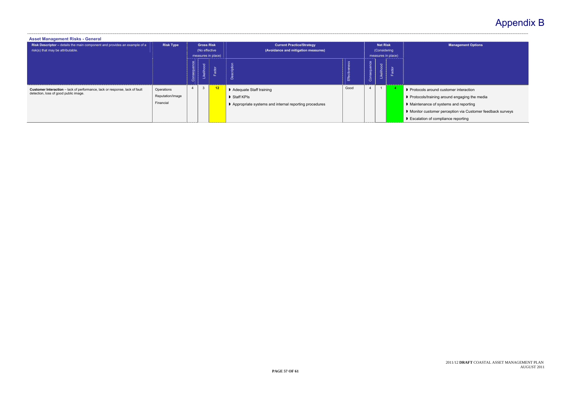| <b>Asset Management Risks - General</b>                                                                              |                                             |             |                                    |                    |                                                                                                                        |          |                |                                 |                    |                                                                                                                                                                                                            |
|----------------------------------------------------------------------------------------------------------------------|---------------------------------------------|-------------|------------------------------------|--------------------|------------------------------------------------------------------------------------------------------------------------|----------|----------------|---------------------------------|--------------------|------------------------------------------------------------------------------------------------------------------------------------------------------------------------------------------------------------|
| Risk Descriptor - details the main component and provides an example of a<br>risk(s) that may be attributable.       | <b>Risk Type</b>                            |             | <b>Gross Risk</b><br>(No effective | measures in place) | <b>Current Practice/Strategy</b><br>(Avoidance and mitigation measures)                                                |          |                | <b>Net Risk</b><br>(Considering | measures in place) | <b>Management Opt</b>                                                                                                                                                                                      |
|                                                                                                                      |                                             | Consequence | Likelihood                         | actor              | Description                                                                                                            | Effectiv | Consequence    | Likelihood                      | actor              |                                                                                                                                                                                                            |
| Customer Interaction - lack of performance, lack or response, lack of fault<br>detection, loss of good public image. | Operations<br>Reputation/Image<br>Financial |             | 3                                  | 12 <sub>1</sub>    | Adequate Staff training<br>$\blacktriangleright$ Staff KPIs<br>▶ Appropriate systems and internal reporting procedures | Good     | $\overline{4}$ |                                 |                    | ▶ Protocols around customer interaction<br>Protocols/training around engaging the<br>Maintenance of systems and reporting<br>Monitor customer perception via Custo<br>▶ Escalation of compliance reporting |

**Management Options** 

- 
- ining around engaging the media
- of systems and reporting
- omer perception via Customer feedback surveys
- compliance reporting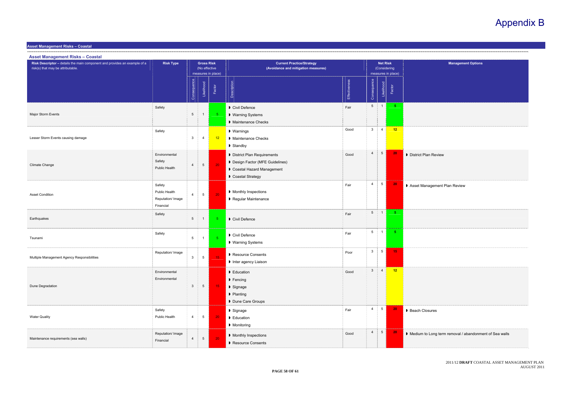2011/12 **DRAFT** COASTAL ASSET MANAGEMENT PLAN AUGUST 2011

**Asset Management Risks – Coastal** 

| <b>Management Options</b>                   |
|---------------------------------------------|
|                                             |
|                                             |
|                                             |
|                                             |
|                                             |
|                                             |
|                                             |
|                                             |
|                                             |
|                                             |
|                                             |
|                                             |
|                                             |
| Review                                      |
|                                             |
|                                             |
|                                             |
|                                             |
| ement Plan Review                           |
|                                             |
|                                             |
|                                             |
|                                             |
|                                             |
|                                             |
|                                             |
|                                             |
|                                             |
|                                             |
|                                             |
|                                             |
|                                             |
|                                             |
|                                             |
|                                             |
|                                             |
|                                             |
| es                                          |
|                                             |
|                                             |
| ong term removal / abandonment of Sea walls |
|                                             |
|                                             |
|                                             |

| <b>Asset Management Risks - Coastal</b>                                                                        |                                                           |                 |                                    |                    |                                                                                                                                   |                      |                 |                                 |                    |                                                        |
|----------------------------------------------------------------------------------------------------------------|-----------------------------------------------------------|-----------------|------------------------------------|--------------------|-----------------------------------------------------------------------------------------------------------------------------------|----------------------|-----------------|---------------------------------|--------------------|--------------------------------------------------------|
| Risk Descriptor - details the main component and provides an example of a<br>risk(s) that may be attributable. | <b>Risk Type</b>                                          |                 | <b>Gross Risk</b><br>(No effective | measures in place) | <b>Current Practice/Strategy</b><br>(Avoidance and mitigation measures)                                                           |                      |                 | <b>Net Risk</b><br>(Considering | measures in place) | <b>Management Options</b>                              |
|                                                                                                                |                                                           | Consequence     | Likelihood                         | Factor             | Description                                                                                                                       | <b>Effectiveness</b> | Consequence     | Likelihood                      | Factor             |                                                        |
| Major Storm Events                                                                                             | Safety                                                    | $5\phantom{.0}$ | $\mathbf{1}$                       | 5 <sub>5</sub>     | Civil Defence<br>▶ Warning Systems<br>Maintenance Checks                                                                          | Fair                 | 5 <sub>5</sub>  | $\frac{1}{2}$ 1                 | 5 <sub>1</sub>     |                                                        |
| Lesser Storm Events causing damage                                                                             | Safety                                                    | $\mathbf{3}$    | $\overline{4}$                     | 12                 | ▶ Warnings<br>Maintenance Checks<br>Standby                                                                                       | Good                 | 3 <sup>1</sup>  | $\overline{4}$                  | 12                 |                                                        |
| Climate Change                                                                                                 | Environmental<br>Safety<br>Public Health                  | $\overline{4}$  | $5\phantom{.0}$                    | 20                 | District Plan Requirements<br>Design Factor (MFE Guidelines)<br>Coastal Hazard Management<br>Coastal Strategy                     | Good                 | $\overline{4}$  | $5\overline{)}$                 | 20 <sub>2</sub>    | D District Plan Review                                 |
| <b>Asset Condition</b>                                                                                         | Safety<br>Public Health<br>Reputation/ Image<br>Financial | $\overline{4}$  | $\overline{5}$                     | 20                 | Monthly Inspections<br>Regular Maintenance                                                                                        | Fair                 | $\overline{4}$  | $5\overline{)}$                 | 20 <sub>2</sub>    | Asset Management Plan Review                           |
| Earthquakes                                                                                                    | Safety                                                    | $5\overline{5}$ | $\mathbf{1}$                       | -5                 | Civil Defence                                                                                                                     | Fair                 | 5 <sup>5</sup>  | $\overline{1}$                  | 5 <sub>1</sub>     |                                                        |
| Tsunami                                                                                                        | Safety                                                    | $5\phantom{.0}$ | $\mathbf{1}$                       | $\overline{5}$     | Civil Defence<br>▶ Warning Systems                                                                                                | Fair                 | $5\overline{)}$ | $\overline{1}$                  | $5 -$              |                                                        |
| Multiple Management Agency Responsibilities                                                                    | Reputation/ Image                                         | $\mathbf{3}$    | $5\phantom{.0}$                    | 15 <sub>1</sub>    | Resource Consents<br>Inter agency Liaison                                                                                         | Poor                 | $\mathbf{3}$    | $5\overline{)}$                 | 15                 |                                                        |
| Dune Degradation                                                                                               | Environmental<br>Environmental                            | $\mathbf{3}$    | $5\overline{)}$                    | 15 <sub>1</sub>    | $\blacktriangleright$ Education<br>$\blacktriangleright$ Fencing<br>$\blacktriangleright$ Signage<br>Planting<br>Dune Care Groups | Good                 |                 |                                 | $3 \mid 4 \mid 12$ |                                                        |
| <b>Water Quality</b>                                                                                           | Safety<br>Public Health                                   | $\overline{4}$  | $5\overline{)}$                    | 20                 | $\triangleright$ Signage<br>▶ Education<br>Monitoring                                                                             | Fair                 | $\overline{4}$  | 5 <sup>5</sup>                  | 20 <sub>1</sub>    | Beach Closures                                         |
| Maintenance requirements (sea walls)                                                                           | Reputation/ Image<br>Financial                            | 4               | $5\phantom{.0}$                    | 20                 | Monthly Inspections<br>Resource Consents                                                                                          | Good                 | $\overline{4}$  | 5 <sup>5</sup>                  | 20 <sub>1</sub>    | Medium to Long term removal / abandonment of Sea walls |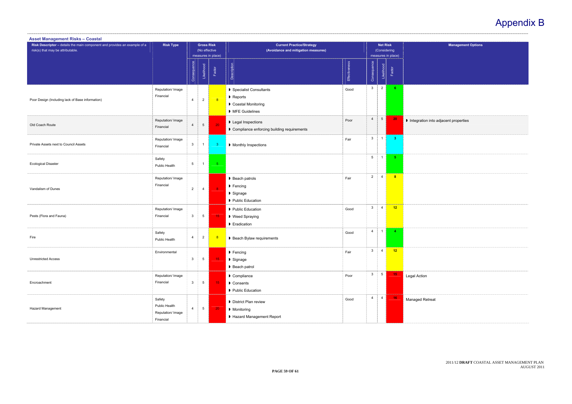2011/12 **DRAFT** COASTAL ASSET MANAGEMENT PLAN AUGUST 2011

| <b>Management Options</b>  |  |
|----------------------------|--|
|                            |  |
|                            |  |
|                            |  |
|                            |  |
|                            |  |
|                            |  |
|                            |  |
|                            |  |
|                            |  |
|                            |  |
| n into adjacent properties |  |
|                            |  |
|                            |  |
|                            |  |
|                            |  |
|                            |  |
|                            |  |
|                            |  |
|                            |  |
|                            |  |
|                            |  |
|                            |  |
|                            |  |
|                            |  |
|                            |  |
|                            |  |
|                            |  |
|                            |  |
|                            |  |
|                            |  |
|                            |  |
|                            |  |
|                            |  |
|                            |  |
| n                          |  |
|                            |  |
|                            |  |
| etreat                     |  |
|                            |  |
|                            |  |
|                            |  |
|                            |  |

| <b>Asset Management Risks - Coastal</b>                                                                        |                                                           |                 |                                    |                         |                                                                             |               |                 |                                 |                      |                                      |
|----------------------------------------------------------------------------------------------------------------|-----------------------------------------------------------|-----------------|------------------------------------|-------------------------|-----------------------------------------------------------------------------|---------------|-----------------|---------------------------------|----------------------|--------------------------------------|
| Risk Descriptor - details the main component and provides an example of a<br>risk(s) that may be attributable. | <b>Risk Type</b>                                          |                 | <b>Gross Risk</b><br>(No effective | measures in place)      | <b>Current Practice/Strategy</b><br>(Avoidance and mitigation measures)     |               |                 | <b>Net Risk</b><br>(Considering | measures in place)   | <b>Management</b>                    |
|                                                                                                                |                                                           | Consequence     | Likelihood                         | Factor                  | Description                                                                 | Effectiveness | Consequence     | Likelihood                      | Factor               |                                      |
| Poor Design (Including lack of Base information)                                                               | Reputation/ Image<br>Financial                            | $\overline{4}$  | $\overline{2}$                     | 8                       | ▶ Specialist Consultants<br>Reports<br>Coastal Monitoring<br>MFE Guidelines | Good          | $\mathbf{3}$    | $\overline{2}$                  | $6 -$                |                                      |
| Old Coach Route                                                                                                | Reputation/ Image<br>Financial                            | 4               | $5\phantom{.0}$                    | 20 <sup>°</sup>         | <b>D</b> Legal Inspections<br>Compliance enforcing building requirements    | Poor          | $\overline{4}$  | $5\overline{)}$                 | 20                   | Integration into adjacent properties |
| Private Assets next to Council Assets                                                                          | Reputation/ Image<br>Financial                            | $\mathbf{3}$    | $\overline{1}$                     | 3 <sup>o</sup>          | Monthly Inspections                                                         | Fair          | $\mathbf{3}$    | $\overline{1}$                  | 3 <sup>7</sup>       |                                      |
| <b>Ecological Disaster</b>                                                                                     | Safety<br>Public Health                                   | $5\phantom{.0}$ | $\mathbf{1}$                       | 5 <sub>1</sub>          |                                                                             |               | $5\phantom{.0}$ | $\overline{1}$                  | 5 <sub>1</sub>       |                                      |
| Vandalism of Dunes                                                                                             | Reputation/ Image<br>Financial                            | $\overline{2}$  | $\overline{4}$                     | $\overline{\mathbf{8}}$ | ▶ Beach patrols<br>Fencing<br>▶ Signage<br>Public Education                 | Fair          | $\overline{2}$  | $\overline{4}$                  | 8 <sup>2</sup>       |                                      |
| Pests (Flora and Fauna)                                                                                        | Reputation/ Image<br>Financial                            | 3               | $5\phantom{.0}$                    | 15 <sub>1</sub>         | Public Education<br>▶ Weed Spraying<br>Eradication                          | Good          | $\mathbf{3}$    | $\overline{4}$                  | 12                   |                                      |
| Fire                                                                                                           | Safety<br>Public Health                                   | 4               | $\overline{a}$                     | $\sqrt{8}$              | Beach Bylaw requirements                                                    | Good          | $\overline{4}$  | $\overline{1}$                  | $\blacktriangleleft$ |                                      |
| <b>Unrestricted Access</b>                                                                                     | Environmental                                             | $\mathbf{3}$    | $5\overline{)}$                    | 15 <sub>1</sub>         | $\blacktriangleright$ Fencing<br>▶ Signage<br>▶ Beach patrol                | Fair          | $\mathbf{3}$    | $\overline{4}$                  | $-12$                |                                      |
| Encroachment                                                                                                   | Reputation/ Image<br>Financial                            | $\mathbf{3}$    | $5\phantom{.0}$                    | 15 <sub>1</sub>         | $\blacktriangleright$ Compliance<br>Consents<br>Public Education            | Poor          | 3 <sup>1</sup>  | $5\overline{)}$                 | 15 <sub>1</sub>      | Legal Action                         |
| Hazard Management                                                                                              | Safety<br>Public Health<br>Reputation/ Image<br>Financial | $\overline{4}$  | $5\phantom{.0}$                    | 20 <sub>1</sub>         | District Plan review<br>Monitoring<br>Hazard Management Report              | Good          | $\overline{4}$  | $\overline{4}$                  | 16 <sub>1</sub>      | Managed Retreat                      |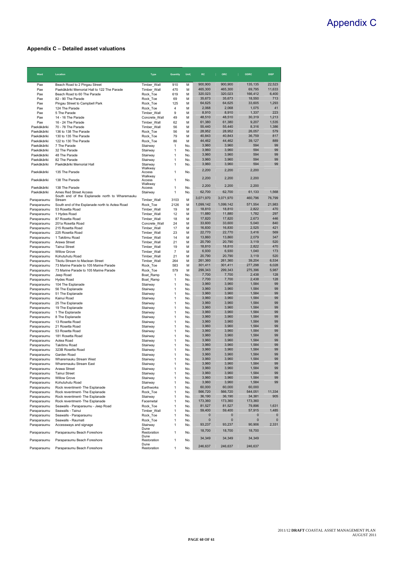# Appendix C

2011/12 **DRAFT** COASTAL ASSET MANAGEMENT PLAN AUGUST 2011

**PAGE 60 OF 61** 

### **Appendix C – Detailed asset valuations**

| Ward                       | Location                                                                       | <b>Type</b>                | Quantity       | Unit       | RC                 | <b>ORC</b>         | <b>ODRC</b>        | <b>DISP</b>    |
|----------------------------|--------------------------------------------------------------------------------|----------------------------|----------------|------------|--------------------|--------------------|--------------------|----------------|
| Pae                        | Beach Road to 2 Pingau Street                                                  | Timber_Wall                | 910            | м          | 900,900            | 900,900            | 135,135            | 22,523         |
| Pae                        | Paekākāriki Memorial Hall to 122 The Parade                                    | Timber Wall                | 470            | M          | 465,300            | 465,300            | 69,795             | 11,633         |
| Pae<br>Pae                 | Beach Road to 60 The Parade<br>82 - 90 The Parade                              | Rock Toe                   | 619            | M<br>M     | 320,023<br>35,673  | 320,023<br>35,673  | 166,412<br>18,550  | 6,400<br>713   |
| Pae                        | Pingau Street to Campbell Park                                                 | Rock Toe<br>Rock_Toe       | 69<br>125      | M          | 64,625             | 64,625             | 33,605             | 1,293          |
| Pae                        | 124 The Parade                                                                 | Rock Toe                   | 4              | M          | 2,068              | 2,068              | 1,075              | 41             |
| Pae                        | 5 The Parade                                                                   | Timber_Wall                | 9              | M          | 8,910              | 8,910              | 1,337              | 223            |
| Pae                        | 14 - 16 The Parade                                                             | Concrete_Wall              | 49             | M          | 48,510             | 48,510             | 30,319             | 1,213          |
| Pae<br>Paekākāriki         | 16 - 24 The Parade<br>70 - 78 The Parade                                       | Timber_Wall                | 62             | M<br>M     | 61,380<br>55,440   | 61,380<br>55,440   | 9,207<br>8,316     | 1,535<br>1,386 |
| Paekākāriki                | 136 to 138 The Parade                                                          | Timber Wall<br>Rock_Toe    | 56<br>56       | M          | 28,952             | 28,952             | 26,057             | 579            |
| Paekākāriki                | 130 to 135 The Parade                                                          | Rock Toe                   | 79             | M          | 40,843             | 40,843             | 36,759             | 817            |
| Paekākāriki                | 122 to 130 The Parade                                                          | Rock_Toe                   | 86             | M          | 44,462             | 44,462             | 39,127             | 889            |
| Paekākāriki                | 7 The Parade                                                                   | Stairway                   | $\mathbf{1}$   | No.        | 3,960              | 3,960              | 594                | 99             |
| Paekākāriki                | 32 The Parade                                                                  | Stairway                   | 1              | No.        | 3,960<br>3,960     | 3,960<br>3,960     | 594<br>594         | 99<br>99       |
| Paekākāriki<br>Paekākāriki | 48 The Parade<br>82 The Parade                                                 | Stairway<br>Stairway       | 1<br>1         | No.<br>No. | 3,960              | 3,960              | 594                | 99             |
| Paekākāriki                | Paekākāriki Memorial Hall                                                      | Stairway                   | 1              | No.        | 3,960              | 3,960              | 594                | 99             |
|                            |                                                                                | Walkway                    |                |            | 2,200              | 2,200              | 2,200              |                |
| Paekākāriki                | 135 The Parade                                                                 | Access<br>Walkway          | 1              | No.        |                    |                    |                    |                |
| Paekākāriki                | 138 The Parade                                                                 | Access                     | 1              | No.        | 2,200              | 2,200              | 2,200              |                |
| Paekākāriki                | 138 The Parade                                                                 | Walkway<br>Access          | 1              | No.        | 2,200              | 2,200              | 2,200              |                |
| Paekākāriki                | <b>Ames Red Street Access</b>                                                  | Stairway                   | 1              | No.        | 62,700             | 62,700             | 61,133             | 1,568          |
|                            | South end of the Esplanade north to Wharemauku                                 |                            |                |            | 3,071,970          | 3,071,970          | 460,796            | 76,799         |
| Paraparaumu                | Stream                                                                         | Timber_Wall                | 3103<br>2126   | M<br>M     | 1,099,142          | 1,099,142          | 571,554            | 21,983         |
| Paraparaumu<br>Paraparaumu | South end of the Esplanade north to Aotea Road<br>53 Rosetta Road              | Rock Toe<br>Timber_Wall    | 19             | M          | 18,810             | 18,810             | 2,822              | 470            |
| Paraparaumu                | 1 Hydes Road                                                                   | Timber_Wall                | 12             | М          | 11,880             | 11,880             | 1,782              | 297            |
| Paraparaumu                | 87 Rosetta Road                                                                | Timber_Wall                | 18             | M          | 17,820             | 17,820             | 2,673              | 446            |
| Paraparaumu                | 201a Rosetta Road                                                              | Concrete_Wall              | 24             | M          | 33,600             | 33,600             | 5,040              | 840            |
| Paraparaumu                | 215 Rosetta Road                                                               | Timber_Wall                | 17             | M          | 16,830             | 16,830             | 2,525              | 421            |
| Paraparaumu                | 225 Rosetta Road<br>1 Takitimu Road                                            | Timber_Wall                | 23<br>14       | М<br>M     | 22,770<br>13,860   | 22,770<br>13,860   | 3,416<br>2,079     | 569<br>347     |
| Paraparaumu<br>Paraparaumu | Arawa Street                                                                   | Timber_Wall<br>Timber Wall | 21             | M          | 20,790             | 20,790             | 3,119              | 520            |
| Paraparaumu                | <b>Tainui Street</b>                                                           | Timber_Wall                | 19             | M          | 18,810             | 18,810             | 2,822              | 470            |
| Paraparaumu                | <b>Willow Grove</b>                                                            | Timber_Wall                | $\overline{7}$ | M          | 6,930              | 6,930              | 1,040              | 173            |
| Paraparaumu                | Kohutuhutu Road                                                                | Timber_Wall                | 21             | M          | 20,790             | 20,790             | 3,119              | 520            |
| Paraparaumu                | <b>Tikotu Stream to Maclean Street</b>                                         | Timber_Wall                | 264            | M          | 261,360            | 261,360<br>301,411 | 39,204             | 6,534          |
| Paraparaumu<br>Paraparaumu | 73 Marine Parade to 105 Marine Parade<br>73 Marine Parade to 105 Marine Parade | Rock_Toe<br>Rock Toe       | 583<br>579     | M<br>M     | 301,411<br>299,343 | 299,343            | 277,298<br>275,396 | 6,028<br>5,987 |
| Paraparaumu                | Jeep Road                                                                      | Boat Ramp                  | $\mathbf{1}$   | No.        | 7,700              | 7,700              | 2,438              | 128            |
| Paraparaumu                | <b>Hydes Road</b>                                                              | Boat Ramp                  | 1              | No.        | 7,700              | 7,700              | 2,438              | 128            |
| Paraparaumu                | 104 The Esplanade                                                              | Stairway                   | 1              | No.        | 3,960              | 3,960              | 1,584              | 99             |
| Paraparaumu                | 56 The Esplanade                                                               | Stairway                   | 1              | No.        | 3,960              | 3,960              | 1,584              | 99             |
| Paraparaumu<br>Paraparaumu | 51 The Esplanade<br>Kainui Road                                                | Stairway<br>Stairway       | 1<br>1         | No.<br>No. | 3,960<br>3,960     | 3,960<br>3,960     | 1,584<br>1,584     | 99<br>99       |
| Paraparaumu                | 25 The Esplanade                                                               | Stairway                   | 1              | No.        | 3,960              | 3,960              | 1,584              | 99             |
| Paraparaumu                | 19 The Esplanade                                                               | Stairway                   | 1              | No.        | 3,960              | 3,960              | 1,584              | 99             |
| Paraparaumu                | 1 The Esplanade                                                                | Stairway                   | 1              | No.        | 3,960              | 3,960              | 1,584              | 99             |
| Paraparaumu                | 8 The Esplanade                                                                | Stairway                   | 1              | No.        | 3,960              | 3,960              | 1,584              | 99             |
| Paraparaumu<br>Paraparaumu | 13 Rosetta Road<br>21 Rosetta Road                                             | Stairway<br>Stairway       | 1<br>1         | No.<br>No. | 3,960<br>3,960     | 3,960<br>3,960     | 1,584<br>1,584     | 99<br>99       |
| Paraparaumu                | 53 Rosetta Road                                                                | Stairway                   | 1              | No.        | 3,960              | 3,960              | 1,584              | 99             |
| Paraparaumu                | 181 Rosetta Road                                                               | Stairway                   | 1              | No.        | 3,960              | 3,960              | 1,584              | 99             |
| Paraparaumu                | Aotea Road                                                                     | Stairway                   | 1              | No.        | 3,960              | 3,960              | 1,584              | 99             |
| Paraparaumu                | Takitimu Road                                                                  | Stairway                   | 1              | No.        | 3,960              | 3,960              | 1,584              | 99             |
| Paraparaumu<br>Paraparaumu | 323B Rosetta Road<br>Garden Road                                               | Stairway<br>Stairway       | 1<br>1         | No.<br>No. | 3,960<br>3,960     | 3,960<br>3,960     | 1,584<br>1,584     | 99<br>99       |
| Paraparaumu                | Wharemauku Stream West                                                         | Stairway                   | 1              | No.        | 3,960              | 3,960              | 1,584              | 99             |
| Paraparaumu                | Wharemauku Stream East                                                         | Stairway                   | 1              | No.        | 3,960              | 3,960              | 1,584              | 99             |
| Paraparaumu                | Arawa Street                                                                   | Stairway                   | 1              | No.        | 3,960              | 3,960              | 1,584              | 99             |
| Paraparaumu                | Tainui Street                                                                  | Stairway                   | 1              | No.        | 3,960              | 3,960              | 1,584              | 99<br>99       |
| Paraparaumu<br>Paraparaumu | <b>Willow Grove</b><br>Kohutuhutu Road                                         | Stairway<br>Stairway       | 1<br>1         | No.<br>No. | 3,960<br>3,960     | 3,960<br>3,960     | 1,584<br>1,584     | 99             |
| Paraparaumu                | Rock reventment- The Esplanade                                                 | Earthworks                 | 1              | No.        | 60,000             | 60,000             | 60,000             |                |
| Paraparaumu                | Rock reventment- The Esplanade                                                 | Rock_Toe                   | 1              | No.        | 566,720            | 566,720            | 544,051            | 11,334         |
| Paraparaumu                | Rock reventment- The Esplanade                                                 | Stairway                   | $\mathbf{1}$   | No.        | 36,190             | 36,190             | 34,381             | 905            |
| Paraparaumu                | Rock reventment- The Esplanade                                                 | Facemetal                  | 1              | No.        | 173,360            | 173,360            | 173,360            |                |
| Paraparaumu<br>Paraparaumu | Seawalls - Paraparaumu - Jeep Road<br>Seawalls - Tainui                        | Rock_Toe<br>Timber Wall    | 1<br>1         | No.<br>No. | 81,527<br>59,400   | 81,527<br>59,400   | 79,896<br>57,915   | 1,631<br>1,485 |
| Paraparaumu                | Seawalls - Paraparaumu                                                         | Rock_Toe                   | $\mathbf{1}$   | No.        | $\bf{0}$           | $\mathbf 0$        | 0                  | $\mathbf 0$    |
| Paraparaumu                | Seawalls - Raumati                                                             | Rock_Toe                   | $\mathbf{1}$   | No.        | $\mathbf 0$        | $\mathbf 0$        | 0                  | $\mathbf 0$    |
| Paraparaumu                | Accessways and signage                                                         | Stairway                   | $\mathbf{1}$   | No.        | 93,237             | 93,237             | 90,906             | 2,331          |
| Paraparaumu                | Paraparaumu Beach Foreshore                                                    | Dune<br>Restoration        | 1              | No.        | 18,700             | 18,700             | 18,700             |                |
|                            |                                                                                | Dune                       |                |            | 34,349             | 34,349             | 34,349             |                |
| Paraparaumu                | Paraparaumu Beach Foreshore                                                    | Restoration<br>Dune        | 1              | No.        | 246,637            | 246,637            | 246,637            |                |
| Paraparaumu                | Paraparaumu Beach Foreshore                                                    | Restoration                | $\mathbf{1}$   | No.        |                    |                    |                    |                |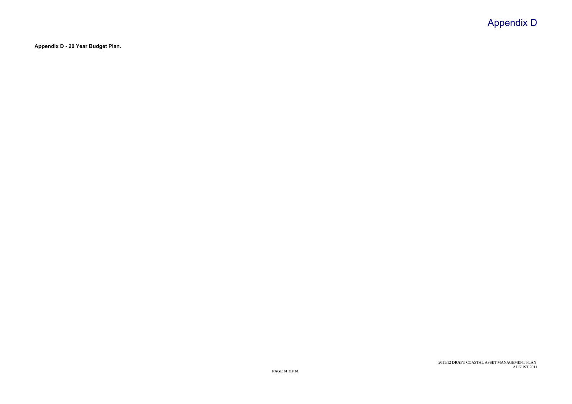# Appendix D

2011/12 **DRAFT** COASTAL ASSET MANAGEMENT PLAN AUGUST 2011

**Appendix D - 20 Year Budget Plan.**